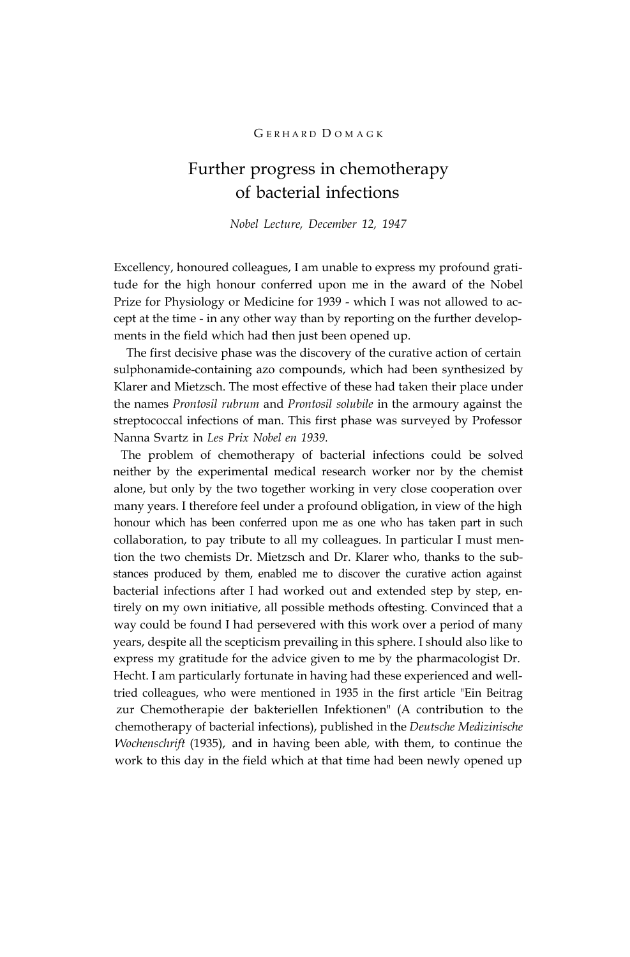## GERHARD DOMAGK

# Further progress in chemotherapy of bacterial infections

*Nobel Lecture, December 12, 1947*

Excellency, honoured colleagues, I am unable to express my profound gratitude for the high honour conferred upon me in the award of the Nobel Prize for Physiology or Medicine for 1939 - which I was not allowed to accept at the time - in any other way than by reporting on the further developments in the field which had then just been opened up.

The first decisive phase was the discovery of the curative action of certain sulphonamide-containing azo compounds, which had been synthesized by Klarer and Mietzsch. The most effective of these had taken their place under the names *Prontosil rubrum* and *Prontosil solubile* in the armoury against the streptococcal infections of man. This first phase was surveyed by Professor Nanna Svartz in *Les Prix Nobel en 1939.*

The problem of chemotherapy of bacterial infections could be solved neither by the experimental medical research worker nor by the chemist alone, but only by the two together working in very close cooperation over many years. I therefore feel under a profound obligation, in view of the high honour which has been conferred upon me as one who has taken part in such collaboration, to pay tribute to all my colleagues. In particular I must mention the two chemists Dr. Mietzsch and Dr. Klarer who, thanks to the substances produced by them, enabled me to discover the curative action against bacterial infections after I had worked out and extended step by step, entirely on my own initiative, all possible methods oftesting. Convinced that a way could be found I had persevered with this work over a period of many years, despite all the scepticism prevailing in this sphere. I should also like to express my gratitude for the advice given to me by the pharmacologist Dr. Hecht. I am particularly fortunate in having had these experienced and welltried colleagues, who were mentioned in 1935 in the first article "Ein Beitrag zur Chemotherapie der bakteriellen Infektionen" (A contribution to the chemotherapy of bacterial infections), published in the *Deutsche Medizinische Wochenschrift* (1935), and in having been able, with them, to continue the work to this day in the field which at that time had been newly opened up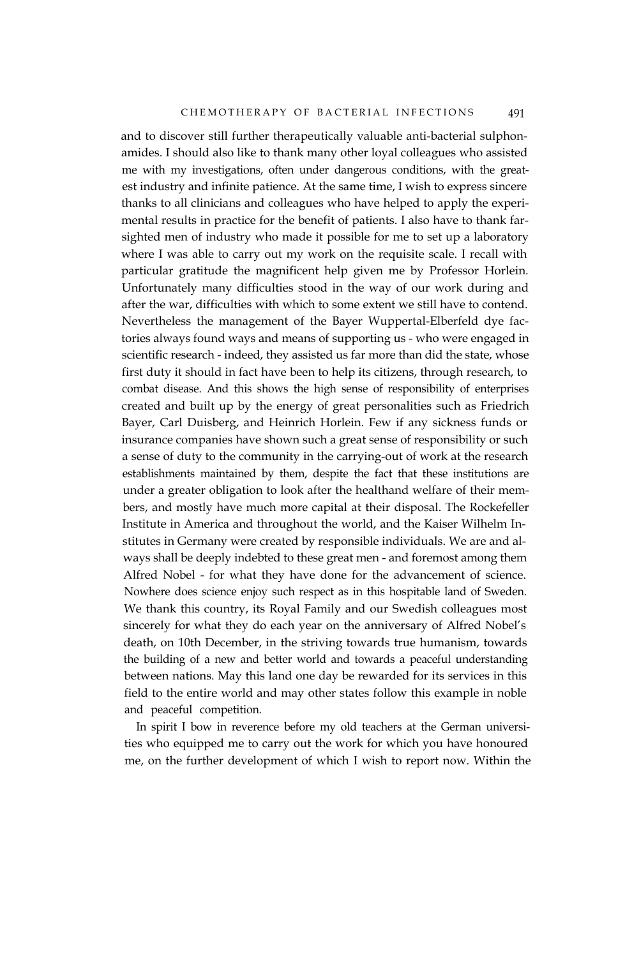and to discover still further therapeutically valuable anti-bacterial sulphonamides. I should also like to thank many other loyal colleagues who assisted me with my investigations, often under dangerous conditions, with the greatest industry and infinite patience. At the same time, I wish to express sincere thanks to all clinicians and colleagues who have helped to apply the experimental results in practice for the benefit of patients. I also have to thank farsighted men of industry who made it possible for me to set up a laboratory where I was able to carry out my work on the requisite scale. I recall with particular gratitude the magnificent help given me by Professor Horlein. Unfortunately many difficulties stood in the way of our work during and after the war, difficulties with which to some extent we still have to contend. Nevertheless the management of the Bayer Wuppertal-Elberfeld dye factories always found ways and means of supporting us - who were engaged in scientific research - indeed, they assisted us far more than did the state, whose first duty it should in fact have been to help its citizens, through research, to combat disease. And this shows the high sense of responsibility of enterprises created and built up by the energy of great personalities such as Friedrich Bayer, Carl Duisberg, and Heinrich Horlein. Few if any sickness funds or insurance companies have shown such a great sense of responsibility or such a sense of duty to the community in the carrying-out of work at the research establishments maintained by them, despite the fact that these institutions are under a greater obligation to look after the healthand welfare of their members, and mostly have much more capital at their disposal. The Rockefeller Institute in America and throughout the world, and the Kaiser Wilhelm Institutes in Germany were created by responsible individuals. We are and always shall be deeply indebted to these great men - and foremost among them Alfred Nobel - for what they have done for the advancement of science. Nowhere does science enjoy such respect as in this hospitable land of Sweden. We thank this country, its Royal Family and our Swedish colleagues most sincerely for what they do each year on the anniversary of Alfred Nobel's death, on 10th December, in the striving towards true humanism, towards the building of a new and better world and towards a peaceful understanding between nations. May this land one day be rewarded for its services in this field to the entire world and may other states follow this example in noble and peaceful competition.

In spirit I bow in reverence before my old teachers at the German universities who equipped me to carry out the work for which you have honoured me, on the further development of which I wish to report now. Within the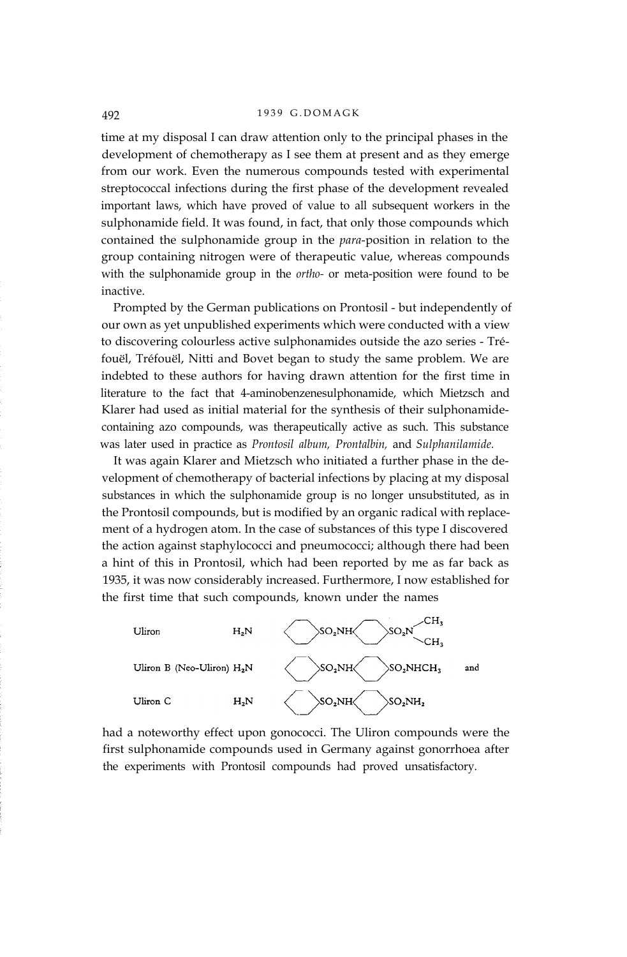time at my disposal I can draw attention only to the principal phases in the development of chemotherapy as I see them at present and as they emerge from our work. Even the numerous compounds tested with experimental streptococcal infections during the first phase of the development revealed important laws, which have proved of value to all subsequent workers in the sulphonamide field. It was found, in fact, that only those compounds which contained the sulphonamide group in the *para*-position in relation to the group containing nitrogen were of therapeutic value, whereas compounds with the sulphonamide group in the *ortho-* or meta-position were found to be inactive.

Prompted by the German publications on Prontosil - but independently of our own as yet unpublished experiments which were conducted with a view to discovering colourless active sulphonamides outside the azo series - Tréfouël, Tréfouël, Nitti and Bovet began to study the same problem. We are indebted to these authors for having drawn attention for the first time in literature to the fact that 4-aminobenzenesulphonamide, which Mietzsch and Klarer had used as initial material for the synthesis of their sulphonamidecontaining azo compounds, was therapeutically active as such. This substance was later used in practice as *Prontosil album, Prontalbin,* and *Sulphanilamide.*

It was again Klarer and Mietzsch who initiated a further phase in the development of chemotherapy of bacterial infections by placing at my disposal substances in which the sulphonamide group is no longer unsubstituted, as in the Prontosil compounds, but is modified by an organic radical with replacement of a hydrogen atom. In the case of substances of this type I discovered the action against staphylococci and pneumococci; although there had been a hint of this in Prontosil, which had been reported by me as far back as 1935, it was now considerably increased. Furthermore, I now established for the first time that such compounds, known under the names



had a noteworthy effect upon gonococci. The Uliron compounds were the first sulphonamide compounds used in Germany against gonorrhoea after the experiments with Prontosil compounds had proved unsatisfactory.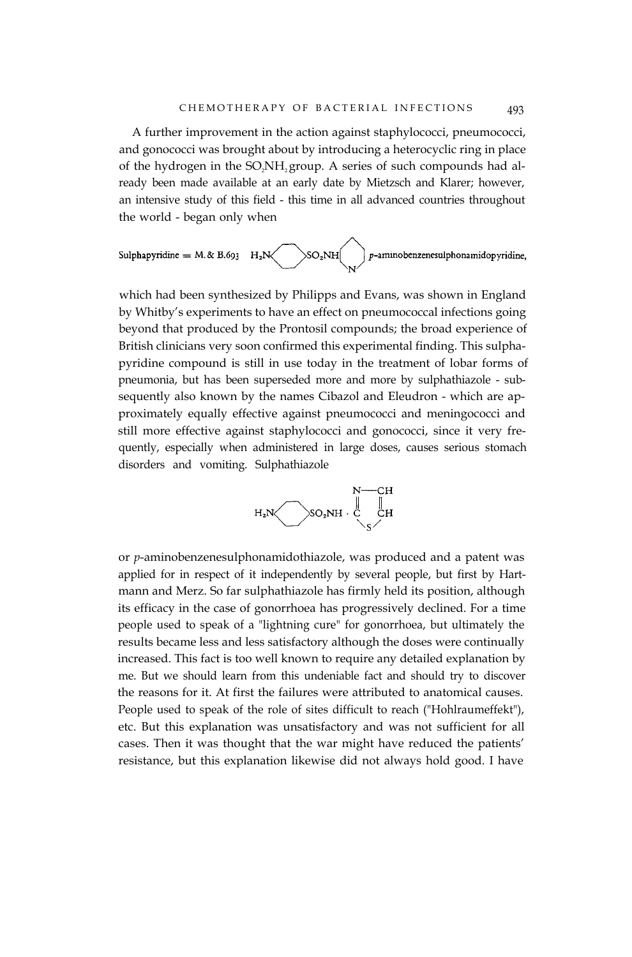A further improvement in the action against staphylococci, pneumococci, and gonococci was brought about by introducing a heterocyclic ring in place of the hydrogen in the SO<sub>2</sub>NH<sub>2</sub> group. A series of such compounds had already been made available at an early date by Mietzsch and Klarer; however, an intensive study of this field - this time in all advanced countries throughout the world - began only when

$$
Sulphapyridine = M. & B.693 \quad H_2N \longrightarrow SO_2NH \longrightarrow p-aminobenzenesulphonamidopyridine,
$$

which had been synthesized by Philipps and Evans, was shown in England by Whitby's experiments to have an effect on pneumococcal infections going beyond that produced by the Prontosil compounds; the broad experience of British clinicians very soon confirmed this experimental finding. This sulphapyridine compound is still in use today in the treatment of lobar forms of pneumonia, but has been superseded more and more by sulphathiazole - subsequently also known by the names Cibazol and Eleudron - which are approximately equally effective against pneumococci and meningococci and still more effective against staphylococci and gonococci, since it very frequently, especially when administered in large doses, causes serious stomach disorders and vomiting. Sulphathiazole

$$
H_2N\hspace{-1cm}\begin{array}{c}\hspace{-1.5mm}N\hspace{-1.5mm}-\hspace{-1.5mm}CH\\ \parallel\\ \hspace{-1.5mm}SU_2NH\cdot C\\ \parallel\\ \end{array}\hspace{-1.5mm}CH
$$

or *p*-aminobenzenesulphonamidothiazole, was produced and a patent was applied for in respect of it independently by several people, but first by Hartmann and Merz. So far sulphathiazole has firmly held its position, although its efficacy in the case of gonorrhoea has progressively declined. For a time people used to speak of a "lightning cure" for gonorrhoea, but ultimately the results became less and less satisfactory although the doses were continually increased. This fact is too well known to require any detailed explanation by me. But we should learn from this undeniable fact and should try to discover the reasons for it. At first the failures were attributed to anatomical causes. People used to speak of the role of sites difficult to reach ("Hohlraumeffekt"), etc. But this explanation was unsatisfactory and was not sufficient for all cases. Then it was thought that the war might have reduced the patients' resistance, but this explanation likewise did not always hold good. I have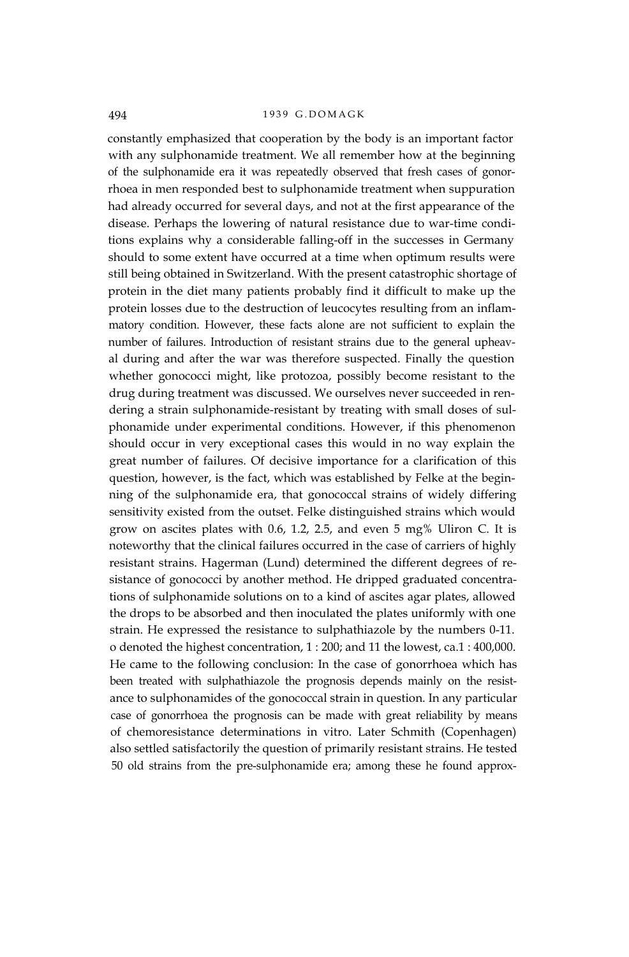constantly emphasized that cooperation by the body is an important factor with any sulphonamide treatment. We all remember how at the beginning of the sulphonamide era it was repeatedly observed that fresh cases of gonorrhoea in men responded best to sulphonamide treatment when suppuration had already occurred for several days, and not at the first appearance of the disease. Perhaps the lowering of natural resistance due to war-time conditions explains why a considerable falling-off in the successes in Germany should to some extent have occurred at a time when optimum results were still being obtained in Switzerland. With the present catastrophic shortage of protein in the diet many patients probably find it difficult to make up the protein losses due to the destruction of leucocytes resulting from an inflammatory condition. However, these facts alone are not sufficient to explain the number of failures. Introduction of resistant strains due to the general upheaval during and after the war was therefore suspected. Finally the question whether gonococci might, like protozoa, possibly become resistant to the drug during treatment was discussed. We ourselves never succeeded in rendering a strain sulphonamide-resistant by treating with small doses of sulphonamide under experimental conditions. However, if this phenomenon should occur in very exceptional cases this would in no way explain the great number of failures. Of decisive importance for a clarification of this question, however, is the fact, which was established by Felke at the beginning of the sulphonamide era, that gonococcal strains of widely differing sensitivity existed from the outset. Felke distinguished strains which would grow on ascites plates with 0.6, 1.2, 2.5, and even 5 mg% Uliron C. It is noteworthy that the clinical failures occurred in the case of carriers of highly resistant strains. Hagerman (Lund) determined the different degrees of resistance of gonococci by another method. He dripped graduated concentrations of sulphonamide solutions on to a kind of ascites agar plates, allowed the drops to be absorbed and then inoculated the plates uniformly with one strain. He expressed the resistance to sulphathiazole by the numbers 0-11. o denoted the highest concentration, 1 : 200; and 11 the lowest, ca.1 : 400,000. He came to the following conclusion: In the case of gonorrhoea which has been treated with sulphathiazole the prognosis depends mainly on the resistance to sulphonamides of the gonococcal strain in question. In any particular case of gonorrhoea the prognosis can be made with great reliability by means of chemoresistance determinations in vitro. Later Schmith (Copenhagen) also settled satisfactorily the question of primarily resistant strains. He tested 50 old strains from the pre-sulphonamide era; among these he found approx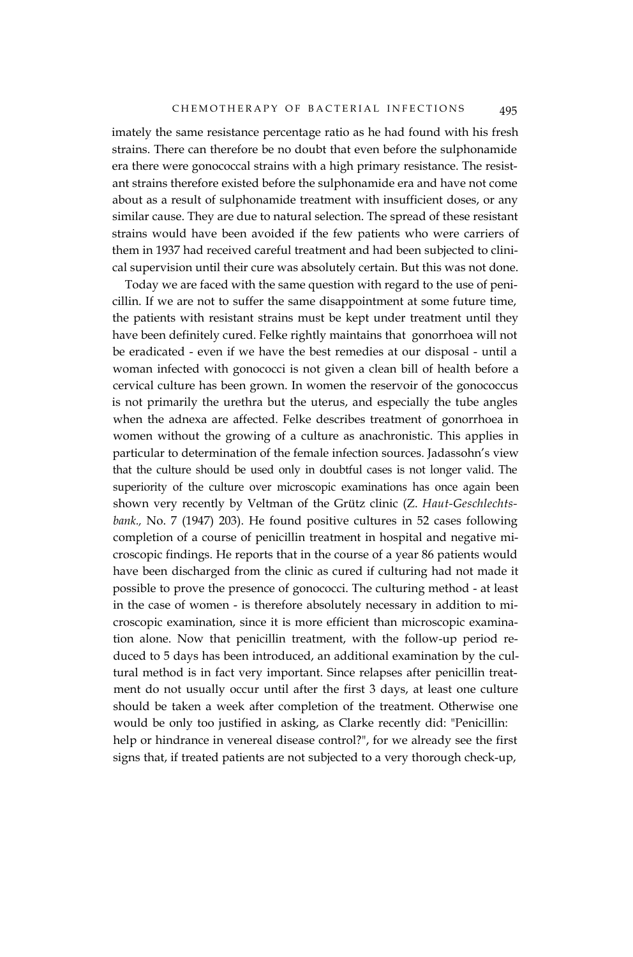imately the same resistance percentage ratio as he had found with his fresh strains. There can therefore be no doubt that even before the sulphonamide era there were gonococcal strains with a high primary resistance. The resistant strains therefore existed before the sulphonamide era and have not come about as a result of sulphonamide treatment with insufficient doses, or any similar cause. They are due to natural selection. The spread of these resistant strains would have been avoided if the few patients who were carriers of them in 1937 had received careful treatment and had been subjected to clinical supervision until their cure was absolutely certain. But this was not done.

Today we are faced with the same question with regard to the use of penicillin. If we are not to suffer the same disappointment at some future time, the patients with resistant strains must be kept under treatment until they have been definitely cured. Felke rightly maintains that gonorrhoea will not be eradicated - even if we have the best remedies at our disposal - until a woman infected with gonococci is not given a clean bill of health before a cervical culture has been grown. In women the reservoir of the gonococcus is not primarily the urethra but the uterus, and especially the tube angles when the adnexa are affected. Felke describes treatment of gonorrhoea in women without the growing of a culture as anachronistic. This applies in particular to determination of the female infection sources. Jadassohn's view that the culture should be used only in doubtful cases is not longer valid. The superiority of the culture over microscopic examinations has once again been shown very recently by Veltman of the Grütz clinic (Z. *Haut-Geschlechtsbank.,* No. 7 (1947) 203). He found positive cultures in 52 cases following completion of a course of penicillin treatment in hospital and negative microscopic findings. He reports that in the course of a year 86 patients would have been discharged from the clinic as cured if culturing had not made it possible to prove the presence of gonococci. The culturing method - at least in the case of women - is therefore absolutely necessary in addition to microscopic examination, since it is more efficient than microscopic examination alone. Now that penicillin treatment, with the follow-up period reduced to 5 days has been introduced, an additional examination by the cultural method is in fact very important. Since relapses after penicillin treatment do not usually occur until after the first 3 days, at least one culture should be taken a week after completion of the treatment. Otherwise one would be only too justified in asking, as Clarke recently did: "Penicillin: help or hindrance in venereal disease control?", for we already see the first signs that, if treated patients are not subjected to a very thorough check-up,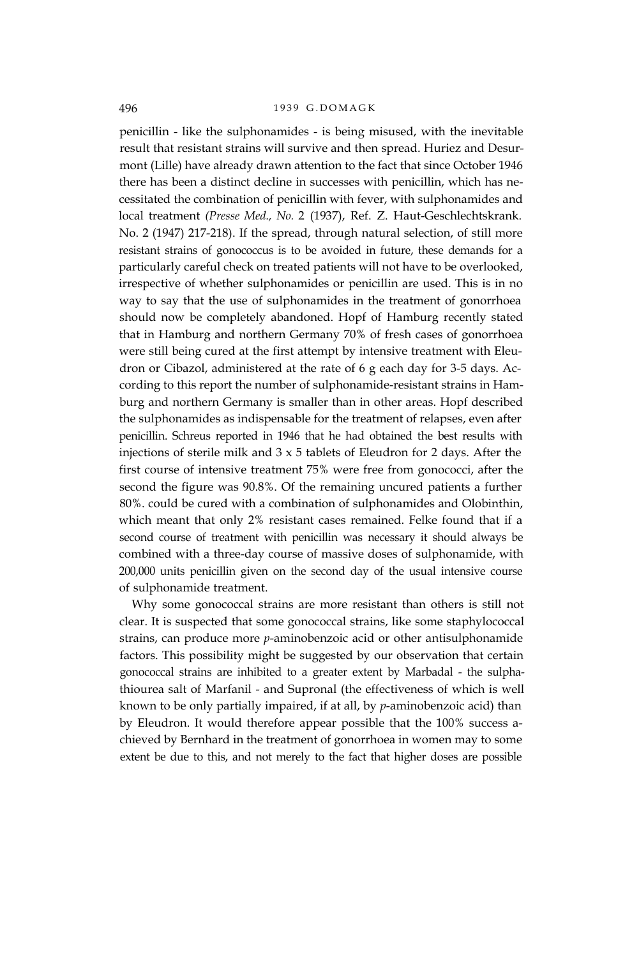penicillin - like the sulphonamides - is being misused, with the inevitable result that resistant strains will survive and then spread. Huriez and Desurmont (Lille) have already drawn attention to the fact that since October 1946 there has been a distinct decline in successes with penicillin, which has necessitated the combination of penicillin with fever, with sulphonamides and local treatment *(Presse Med., No.* 2 (1937), Ref. Z. Haut-Geschlechtskrank. No. 2 (1947) 217-218). If the spread, through natural selection, of still more resistant strains of gonococcus is to be avoided in future, these demands for a particularly careful check on treated patients will not have to be overlooked, irrespective of whether sulphonamides or penicillin are used. This is in no way to say that the use of sulphonamides in the treatment of gonorrhoea should now be completely abandoned. Hopf of Hamburg recently stated that in Hamburg and northern Germany 70% of fresh cases of gonorrhoea were still being cured at the first attempt by intensive treatment with Eleudron or Cibazol, administered at the rate of 6 g each day for 3-5 days. According to this report the number of sulphonamide-resistant strains in Hamburg and northern Germany is smaller than in other areas. Hopf described the sulphonamides as indispensable for the treatment of relapses, even after penicillin. Schreus reported in 1946 that he had obtained the best results with injections of sterile milk and  $3 \times 5$  tablets of Eleudron for 2 days. After the first course of intensive treatment 75% were free from gonococci, after the second the figure was 90.8%. Of the remaining uncured patients a further 80%. could be cured with a combination of sulphonamides and Olobinthin, which meant that only 2% resistant cases remained. Felke found that if a second course of treatment with penicillin was necessary it should always be combined with a three-day course of massive doses of sulphonamide, with 200,000 units penicillin given on the second day of the usual intensive course of sulphonamide treatment.

Why some gonococcal strains are more resistant than others is still not clear. It is suspected that some gonococcal strains, like some staphylococcal strains, can produce more *p*-aminobenzoic acid or other antisulphonamide factors. This possibility might be suggested by our observation that certain gonococcal strains are inhibited to a greater extent by Marbadal - the sulphathiourea salt of Marfanil - and Supronal (the effectiveness of which is well known to be only partially impaired, if at all, by *p*-aminobenzoic acid) than by Eleudron. It would therefore appear possible that the 100% success achieved by Bernhard in the treatment of gonorrhoea in women may to some extent be due to this, and not merely to the fact that higher doses are possible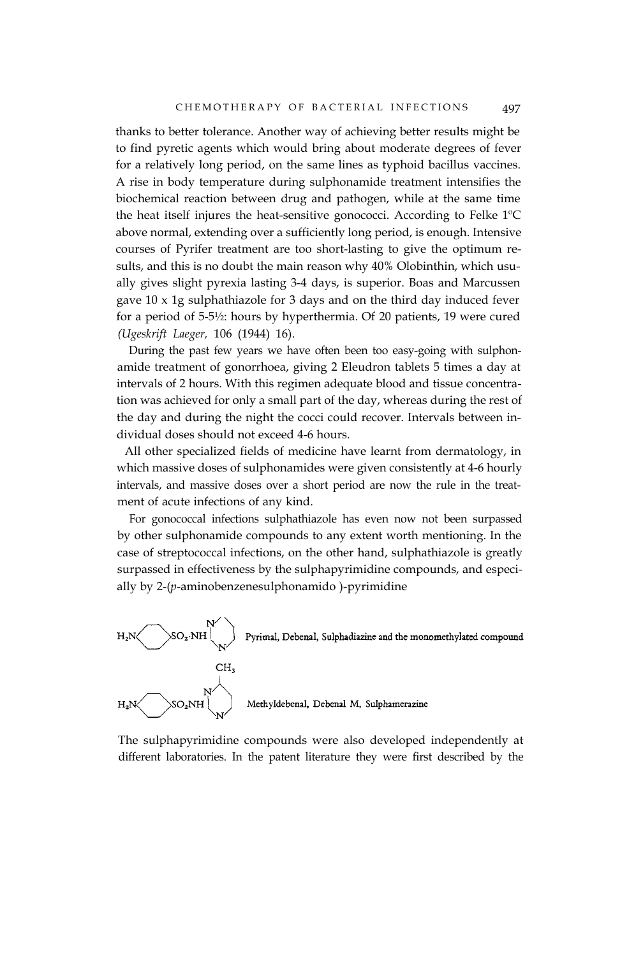thanks to better tolerance. Another way of achieving better results might be to find pyretic agents which would bring about moderate degrees of fever for a relatively long period, on the same lines as typhoid bacillus vaccines. A rise in body temperature during sulphonamide treatment intensifies the biochemical reaction between drug and pathogen, while at the same time the heat itself injures the heat-sensitive gonococci. According to Felke 1ºC above normal, extending over a sufficiently long period, is enough. Intensive courses of Pyrifer treatment are too short-lasting to give the optimum results, and this is no doubt the main reason why 40% Olobinthin, which usually gives slight pyrexia lasting 3-4 days, is superior. Boas and Marcussen gave 10 x 1g sulphathiazole for 3 days and on the third day induced fever for a period of 5-5½: hours by hyperthermia. Of 20 patients, 19 were cured *(Ugeskrift Laeger,* 106 (1944) 16).

During the past few years we have often been too easy-going with sulphonamide treatment of gonorrhoea, giving 2 Eleudron tablets 5 times a day at intervals of 2 hours. With this regimen adequate blood and tissue concentration was achieved for only a small part of the day, whereas during the rest of the day and during the night the cocci could recover. Intervals between individual doses should not exceed 4-6 hours.

All other specialized fields of medicine have learnt from dermatology, in which massive doses of sulphonamides were given consistently at 4-6 hourly intervals, and massive doses over a short period are now the rule in the treatment of acute infections of any kind.

For gonococcal infections sulphathiazole has even now not been surpassed by other sulphonamide compounds to any extent worth mentioning. In the case of streptococcal infections, on the other hand, sulphathiazole is greatly surpassed in effectiveness by the sulphapyrimidine compounds, and especially by 2-(*p*-aminobenzenesulphonamido )-pyrimidine



The sulphapyrimidine compounds were also developed independently at different laboratories. In the patent literature they were first described by the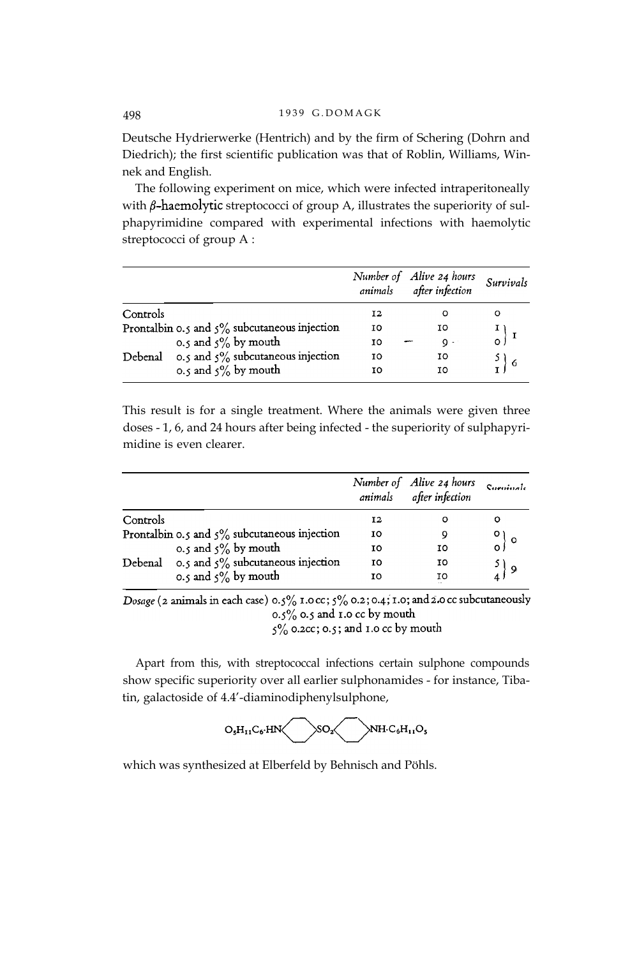Deutsche Hydrierwerke (Hentrich) and by the firm of Schering (Dohrn and Diedrich); the first scientific publication was that of Roblin, Williams, Winnek and English.

The following experiment on mice, which were infected intraperitoneally with  $\beta$ -haemolytic streptococci of group A, illustrates the superiority of sulphapyrimidine compared with experimental infections with haemolytic streptococci of group A :

|          |                                                 |    | Number of Alive 24 hours<br>animals after infection | Survivals                                |
|----------|-------------------------------------------------|----|-----------------------------------------------------|------------------------------------------|
| Controls |                                                 | 12 | о                                                   | о                                        |
|          | Prontalbin 0.5 and $5\%$ subcutaneous injection | ΙO | 10                                                  |                                          |
|          | 0.5 and $5\%$ by mouth                          | 10 | $Q -$                                               | $\begin{bmatrix} 1 \\ 0 \end{bmatrix}$ I |
| Debenal  | 0.5 and $5\%$ subcutaneous injection            | 10 | 10                                                  | $\frac{5}{7}$ 6                          |
|          | 0.5 and $5\%$ by mouth                          | 10 | 10                                                  |                                          |

This result is for a single treatment. Where the animals were given three doses - 1, 6, and 24 hours after being infected - the superiority of sulphapyrimidine is even clearer.

|          |                                                 |    | Number of Alive 24 hours<br>animals after infection | C <sub>equation</sub> 1 <sub>a</sub>   |
|----------|-------------------------------------------------|----|-----------------------------------------------------|----------------------------------------|
| Controls |                                                 | 12 |                                                     |                                        |
|          | Prontalbin 0.5 and $5\%$ subcutaneous injection | 10 |                                                     |                                        |
|          | 0.5 and $5\%$ by mouth                          | 10 | 10                                                  |                                        |
| Debenal  | 0.5 and $5\%$ subcutaneous injection            | 10 | ю                                                   |                                        |
|          | 0.5 and $5\%$ by mouth                          | 10 | ΙО                                                  | $\begin{matrix} 5 \\ 4 \end{matrix}$ 9 |

Dosage (2 animals in each case)  $0.5\%$  1.0 cc;  $5\%$  0.2; 0.4; 1.0; and 2.0 cc subcutaneously 0.5% 0.5 and 1.0 cc by mouth  $5\%$  0.2cc; 0.5; and 1.0 cc by mouth

Apart from this, with streptococcal infections certain sulphone compounds show specific superiority over all earlier sulphonamides - for instance, Tibatin, galactoside of 4.4'-diaminodiphenylsulphone,

$$
O_{\mathfrak{s}}H_{11}C_{\mathfrak{s}}\text{-}\mathrm{HN}\hspace{100pt}\hspace{100pt}\text{S}\mathrm{O}_{2}\hspace{100pt}\text{MH-}C_{\mathfrak{s}}H_{11}O_{\mathfrak{s}}
$$

which was synthesized at Elberfeld by Behnisch and Pöhls.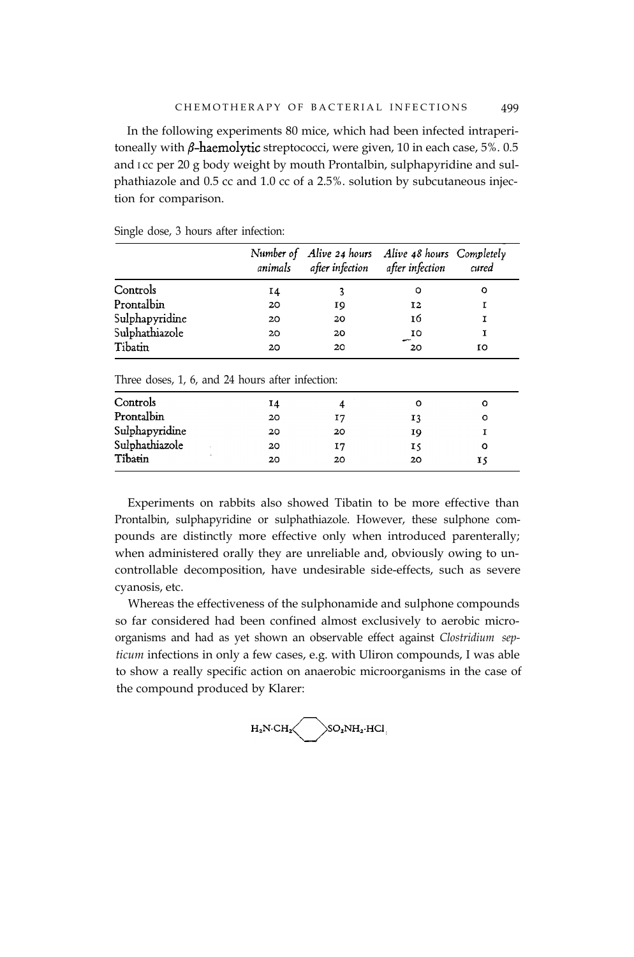In the following experiments 80 mice, which had been infected intraperitoneally with  $\beta$ -haemolytic streptococci, were given, 10 in each case, 5%. 0.5 and I cc per 20 g body weight by mouth Prontalbin, sulphapyridine and sulphathiazole and 0.5 cc and 1.0 cc of a 2.5%. solution by subcutaneous injection for comparison.

|                                                  |    |    | Number of Alive 24 hours Alive 48 hours Completely<br>animals after infection after infection cured |    |
|--------------------------------------------------|----|----|-----------------------------------------------------------------------------------------------------|----|
| Controls                                         | 14 | 3  | о                                                                                                   | о  |
| Prontalbin                                       | 20 | 19 | 12                                                                                                  | r  |
| Sulphapyridine                                   | 20 | 20 | 16                                                                                                  | r  |
| Sulphathiazole                                   | 20 | 20 | 10                                                                                                  | ĭ  |
| Tibatin                                          | 20 | 20 | 20                                                                                                  | ΙO |
| Three doses, 1, 6, and 24 hours after infection: |    |    |                                                                                                     |    |
| Conval                                           |    |    |                                                                                                     |    |

Single dose, 3 hours after infection:

| Three doses, 1, 6, and 24 hours after infection: |    |    |    |    |  |  |  |  |  |
|--------------------------------------------------|----|----|----|----|--|--|--|--|--|
| Controls                                         | 14 |    | o  | ο  |  |  |  |  |  |
| Prontalbin                                       | 20 | 17 | 13 | o  |  |  |  |  |  |
| Sulphapyridine                                   | 20 | 20 | 19 |    |  |  |  |  |  |
| Sulphathiazole                                   | 20 | 17 | Iς | o  |  |  |  |  |  |
| Tibatin                                          | 20 | 20 | 20 | 15 |  |  |  |  |  |

Experiments on rabbits also showed Tibatin to be more effective than Prontalbin, sulphapyridine or sulphathiazole. However, these sulphone compounds are distinctly more effective only when introduced parenterally; when administered orally they are unreliable and, obviously owing to uncontrollable decomposition, have undesirable side-effects, such as severe cyanosis, etc.

Whereas the effectiveness of the sulphonamide and sulphone compounds so far considered had been confined almost exclusively to aerobic microorganisms and had as yet shown an observable effect against *Clostridium septicum* infections in only a few cases, e.g. with Uliron compounds, I was able to show a really specific action on anaerobic microorganisms in the case of the compound produced by Klarer:

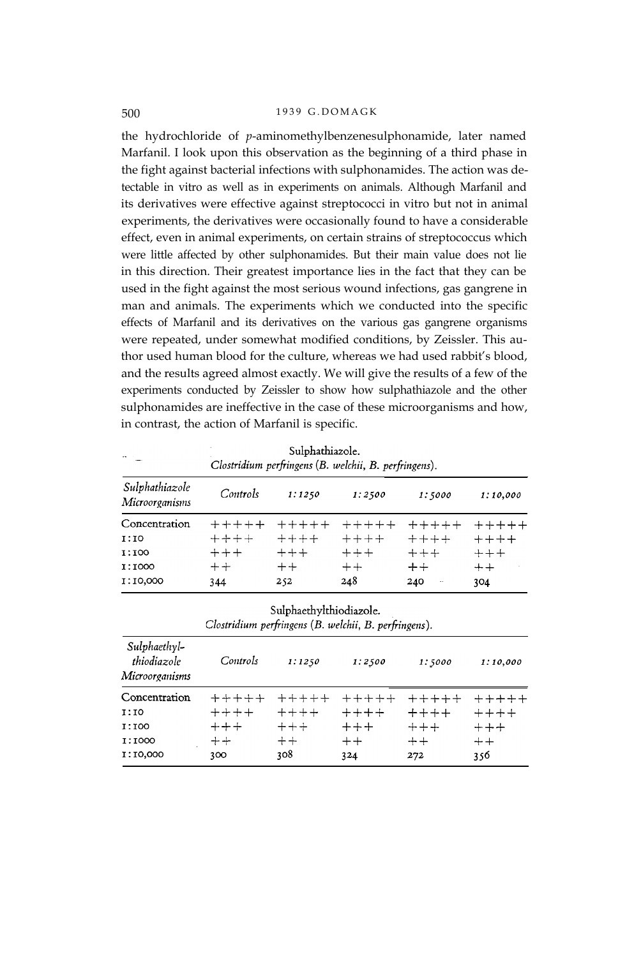the hydrochloride of *p*-aminomethylbenzenesulphonamide, later named Marfanil. I look upon this observation as the beginning of a third phase in the fight against bacterial infections with sulphonamides. The action was detectable in vitro as well as in experiments on animals. Although Marfanil and its derivatives were effective against streptococci in vitro but not in animal experiments, the derivatives were occasionally found to have a considerable effect, even in animal experiments, on certain strains of streptococcus which were little affected by other sulphonamides. But their main value does not lie in this direction. Their greatest importance lies in the fact that they can be used in the fight against the most serious wound infections, gas gangrene in man and animals. The experiments which we conducted into the specific effects of Marfanil and its derivatives on the various gas gangrene organisms were repeated, under somewhat modified conditions, by Zeissler. This author used human blood for the culture, whereas we had used rabbit's blood, and the results agreed almost exactly. We will give the results of a few of the experiments conducted by Zeissler to show how sulphathiazole and the other sulphonamides are ineffective in the case of these microorganisms and how, in contrast, the action of Marfanil is specific.

| Sulphathiazole.<br>Clostridium perfringens (B. welchii, B. perfringens). |               |               |         |                             |          |  |  |  |
|--------------------------------------------------------------------------|---------------|---------------|---------|-----------------------------|----------|--|--|--|
| Sulphathiazole<br>Microorganisms                                         | Controls      | 1:1250        | 1:2500  | 1:5000                      | 1:10,000 |  |  |  |
| Concentration                                                            | $+ + + + + +$ | $+ + + + + +$ | $+++++$ | $+++++$                     | $+++++$  |  |  |  |
| I:IO                                                                     | $++++$        | $++++$        | $+++++$ | $+ + + +$                   | $+++++$  |  |  |  |
| 1:100                                                                    | $+ + +$       | $+++$         | $++++$  | $++++$                      | $+ + +$  |  |  |  |
| 1:1000                                                                   | $+ +$         | $++$          | $++$    | $+ +$                       | $++$     |  |  |  |
| I:10,000                                                                 | 344           | 252           | 248     | 240<br>$\ddot{\phantom{1}}$ | 304      |  |  |  |

# Sulphaethylthiodiazole.

Clostridium perfringens (B. welchii, B. perfringens).

| Sulphaethyl-<br>thiodiazole<br>Microorganisms | Controls    | 1:1250      | 1:2500      | 1:5000   | 1:10,000 |
|-----------------------------------------------|-------------|-------------|-------------|----------|----------|
| Concentration                                 | $+ + + + +$ | $+ + + + +$ | $+ + + + +$ | $+++++$  | $+++++$  |
| I:IO                                          | $+++++$     | $+++++$     | $++++$      | $+++++$  | $+++++$  |
| I:IOO                                         | $++ +$      | $+++$       | $+++$       | $++ + +$ | $+++$    |
| I:1000                                        | $++$        | $++$        | $+ +$       | $+ +$    | $+ +$    |
| I:I0,000                                      | 300         | 208         | 324         | 272      | 356      |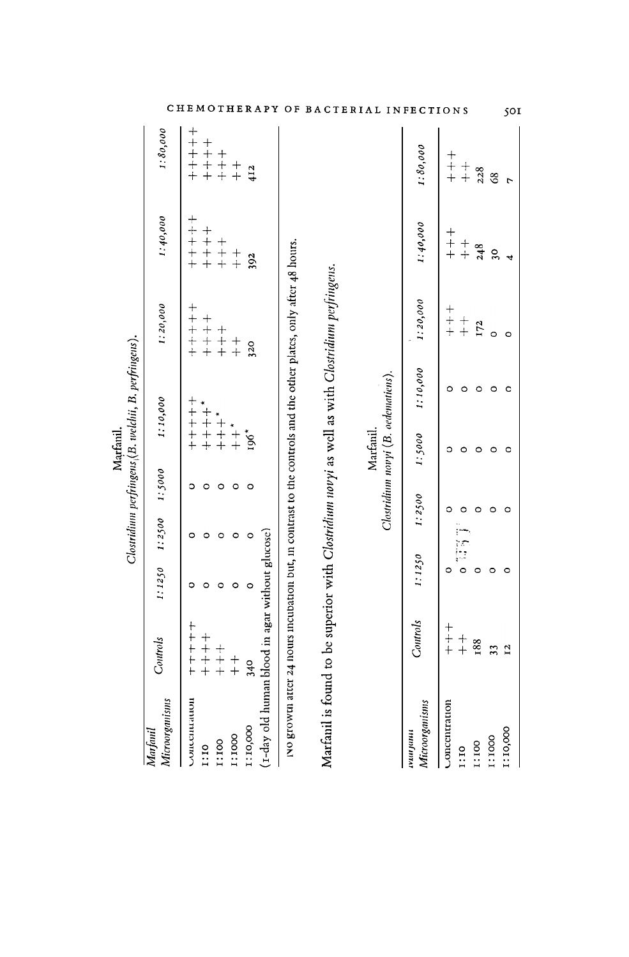|                                                 |                                                                                                                 |         |         |         | Marfanil                                        | Clostridium perfringens (B. welchii, B. perfringens). |                                                                                |                                       |                                       |
|-------------------------------------------------|-----------------------------------------------------------------------------------------------------------------|---------|---------|---------|-------------------------------------------------|-------------------------------------------------------|--------------------------------------------------------------------------------|---------------------------------------|---------------------------------------|
| Microorganisms<br>Marfanil                      | Controls                                                                                                        | 1:1250  | 1:2500  | 1:5000  | 1:10,000                                        |                                                       | 1:20,000                                                                       | 1:40,000                              | 1:80,000                              |
| <b>CONCENTATION</b>                             | $+ + + +$                                                                                                       | ۰       | O       | 0       | $+ + + +$                                       |                                                       | $+ + + +$                                                                      | $+ + + +$                             | キキキキキ                                 |
| 1:10                                            | $+ + +$                                                                                                         | $\circ$ | ٥       | $\circ$ | $+$<br>$+$<br>$+$<br>$+$                        |                                                       | $+ +$<br>$+$<br>$+$                                                            | $+ + +$                               | $+ + +$                               |
| 1:100                                           | $+ +$                                                                                                           | $\circ$ | ٥       | O       | $+$<br>$+$<br>$+$                               |                                                       | $+ +$                                                                          | $+ +$                                 | $+ +$                                 |
| I:1000                                          | $+$                                                                                                             | $\circ$ | $\circ$ | $\circ$ | $+$                                             |                                                       | $+$                                                                            | $+$                                   | $\begin{array}{c} + \\ + \end{array}$ |
| 1:10,000                                        | 340                                                                                                             | $\circ$ | $\circ$ | $\circ$ | 196*                                            |                                                       | 320                                                                            | 392                                   | 412                                   |
| (1-day old human blood in agar without glucose) |                                                                                                                 |         |         |         |                                                 |                                                       |                                                                                |                                       |                                       |
|                                                 | No growth atter 24 hours incubation but, in contrast to the controls and the other plates, only after 48 hours. |         |         |         |                                                 |                                                       |                                                                                |                                       |                                       |
| Marfanil is found                               |                                                                                                                 |         |         |         |                                                 |                                                       | to be superior with Clostridium novyi as well as with Clostridium perfringens. |                                       |                                       |
|                                                 |                                                                                                                 |         |         |         | Clostridium novyi (B. oedenatiens).<br>Marfanil |                                                       |                                                                                |                                       |                                       |
| Microorganisms<br>итерат                        | Controls                                                                                                        | 1:1250  |         | 1:2500  | 0005:1                                          | 1:10,000                                              | 1:20,000                                                                       | 1:40,000                              | 1:80,000                              |
| <b>Oncentration</b>                             | $+$<br>$+$<br>$+$                                                                                               | $\circ$ |         | ٥       | 0                                               | ٥                                                     | $+$<br>$+$<br>$+$                                                              | $+$<br>$+$<br>$+$                     | $+$<br>$+$<br>$+$                     |
| 1:10                                            | $\begin{array}{c} + \\ + \end{array}$                                                                           |         | $-577$  | $\circ$ | 0                                               | O                                                     | $+$                                                                            | $\begin{array}{c} + \\ + \end{array}$ | $+$                                   |
| 1:100                                           | 188                                                                                                             | $\circ$ |         | $\circ$ | $\circ$                                         | $\circ$                                               | 172                                                                            | 248                                   | 228                                   |
| 1:1000                                          | 33                                                                                                              | $\circ$ |         | $\circ$ | $\circ$                                         | $\circ$                                               | $\circ$                                                                        | 30 <sub>o</sub>                       | $\mathcal{S}^3$                       |
| $\frac{10,000}{2}$                              | $\overline{12}$                                                                                                 | $\circ$ |         | $\circ$ | $\circ$                                         | $\circ$                                               | $\circ$                                                                        | $\overline{4}$                        | $\overline{r}$                        |

CHEMOTHERAPY OF BACTERIAL INFECTIONS

 $50I$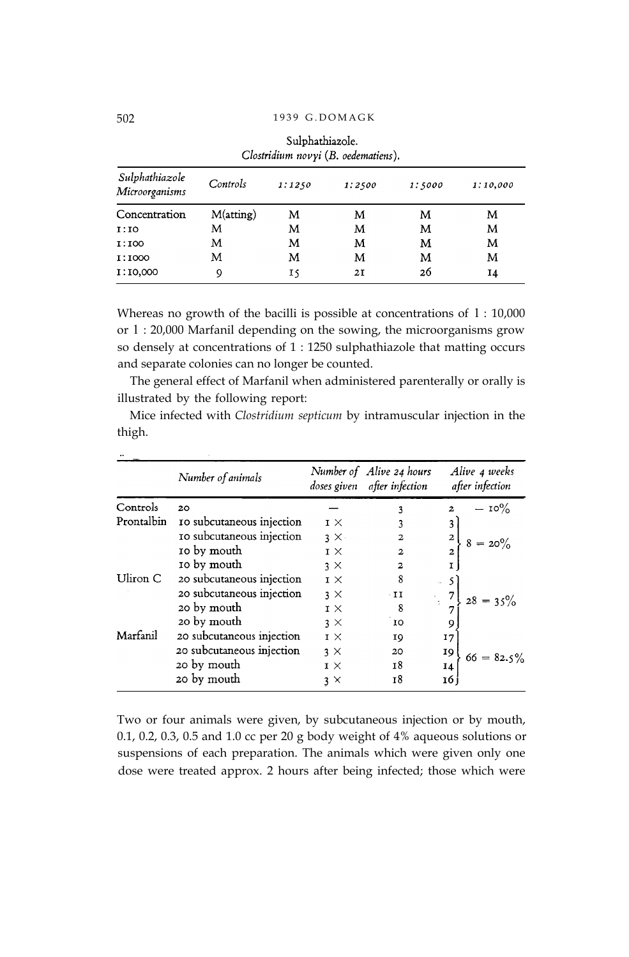| Sulphathiazole<br>Microorganisms | Controls  | 1:1250 | 1:2500 | 1:5000 | 1:10,000  |
|----------------------------------|-----------|--------|--------|--------|-----------|
| Concentration                    | M(atting) | M      | M      | M      | M         |
| I:IO                             | м         | M      | M      | M      | М         |
| <b>I:IOO</b>                     | M         | M      | м      | м      | M         |
| I:1000                           | M         | M      | M      | M      | M         |
| I:10,000                         | 9         | 15     | 2I     | 26     | <b>14</b> |

Sulphathiazole. Clostridium novyi (B. oedematiens).

Whereas no growth of the bacilli is possible at concentrations of 1 : 10,000 or 1 : 20,000 Marfanil depending on the sowing, the microorganisms grow so densely at concentrations of 1 : 1250 sulphathiazole that matting occurs and separate colonies can no longer be counted.

The general effect of Marfanil when administered parenterally or orally is illustrated by the following report:

Mice infected with *Clostridium septicum* by intramuscular injection in the thigh.

|            | Number of animals         |                     | Number of Alive 24 hours<br>doses given after infection |                | Alive 4 weeks<br>after infection |
|------------|---------------------------|---------------------|---------------------------------------------------------|----------------|----------------------------------|
| Controls   | 20                        |                     | 3                                                       |                | $= 10\%$                         |
| Prontalbin | ro subcutaneous injection | $\mathbf{I} \times$ | 3                                                       |                |                                  |
|            | 10 subcutaneous injection | $3 \times$          | $\mathbf{z}$                                            | $\overline{a}$ | $= 20\%$                         |
|            | ro by mouth               | $1 \times$          | $\overline{2}$                                          |                |                                  |
|            | 10 by mouth               | $3 \times$          | $\mathbf{2}$                                            |                |                                  |
| Uliron C   | 20 subcutaneous injection | $I \times$          | 8                                                       |                |                                  |
|            | 20 subcutaneous injection | $3 \times$          | $\cdot$ II                                              |                | $28 = 35\%$                      |
|            | 20 by mouth               | $I \times$          | 8                                                       |                |                                  |
|            | 20 by mouth               | $3 \times$          | IO                                                      | Q              |                                  |
| Marfanil   | 20 subcutaneous injection | $I \times$          | 19                                                      | 17             |                                  |
|            | 20 subcutaneous injection | $3 \times$          | 20                                                      | 19             |                                  |
|            | 20 by mouth               | $1 \times$          | 18                                                      | 14             | $66 = 82.5\%$                    |
|            | 20 by mouth               | $3 \times$          | 18                                                      | 16             |                                  |

Two or four animals were given, by subcutaneous injection or by mouth, 0.1, 0.2, 0.3, 0.5 and 1.0 cc per 20 g body weight of 4% aqueous solutions or suspensions of each preparation. The animals which were given only one dose were treated approx. 2 hours after being infected; those which were

 $\ddot{\phantom{a}}$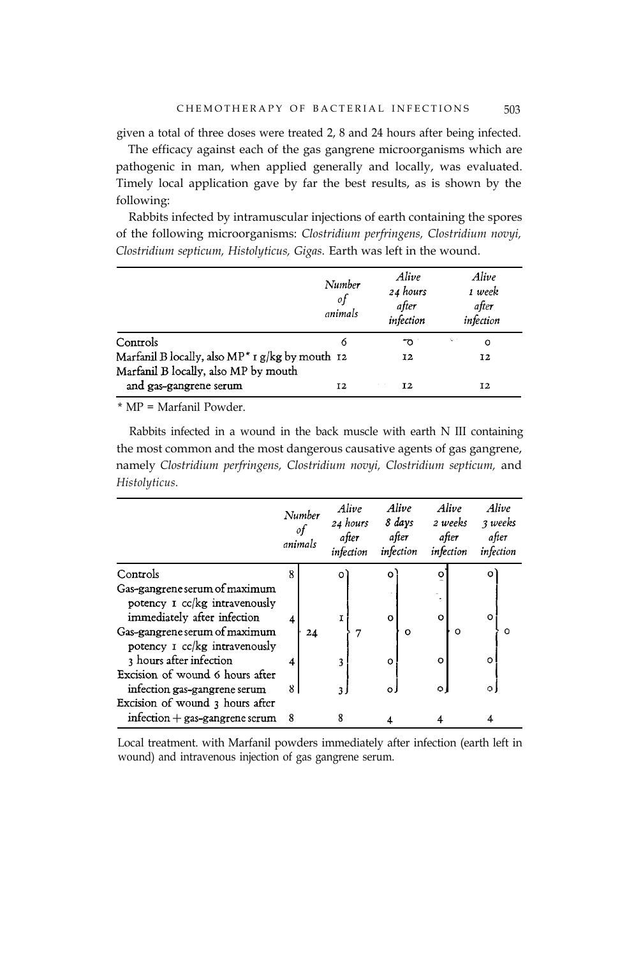given a total of three doses were treated 2, 8 and 24 hours after being infected. The efficacy against each of the gas gangrene microorganisms which are pathogenic in man, when applied generally and locally, was evaluated. Timely local application gave by far the best results, as is shown by the following:

Rabbits infected by intramuscular injections of earth containing the spores of the following microorganisms: *Clostridium perfringens, Clostridium novyi, Clostridium septicum, Histolyticus, Gigas.* Earth was left in the wound.

|                                                                                                       | Number<br>$\circ f$<br>animals | Alive<br>24 hours<br>after<br>infection | Alive<br>1 week<br>after<br>infection |
|-------------------------------------------------------------------------------------------------------|--------------------------------|-----------------------------------------|---------------------------------------|
| Controls                                                                                              | 6                              | ాం                                      | s,<br>o                               |
| Marfanil B locally, also MP <sup>*</sup> $r g/kg$ by mouth 12<br>Marfanil B locally, also MP by mouth |                                | 12                                      | 12                                    |
| and gas-gangrene serum                                                                                | 12                             | 12                                      | 12                                    |

\* MP = Marfanil Powder.

Rabbits infected in a wound in the back muscle with earth N III containing the most common and the most dangerous causative agents of gas gangrene, namely *Clostridium perfringens, Clostridium novyi, Clostridium septicum,* and *Histolyticus.*

|                                                                                                                                                                                            | Number<br>οf<br>animals | Alive<br>24 hours<br>after<br>infection | Alive<br>8 days<br>after<br>infection | Alive<br>2 weeks<br>after<br>infection | Alive<br>3 weeks<br>after<br>infection |
|--------------------------------------------------------------------------------------------------------------------------------------------------------------------------------------------|-------------------------|-----------------------------------------|---------------------------------------|----------------------------------------|----------------------------------------|
| Controls                                                                                                                                                                                   | 8                       | o                                       | o                                     | o                                      |                                        |
| Gas-gangrene serum of maximum<br>potency I cc/kg intravenously<br>immediately after infection<br>Gas-gangrene serum of maximum<br>potency I cc/kg intravenously<br>3 hours after infection | 4<br>24<br>4            |                                         | O<br>Ω<br>$\circ$                     | o<br>Ω<br>o                            | Ω<br>Ω<br>o                            |
| Excision of wound 6 hours after<br>infection gas-gangrene serum                                                                                                                            | 8.                      | 2                                       | $\circ$                               | $\circ$                                | $\circ$                                |
| Excision of wound 3 hours after<br>$inflection + gas$ -gangrene serum                                                                                                                      | 8                       | 8                                       |                                       |                                        |                                        |

Local treatment. with Marfanil powders immediately after infection (earth left in wound) and intravenous injection of gas gangrene serum.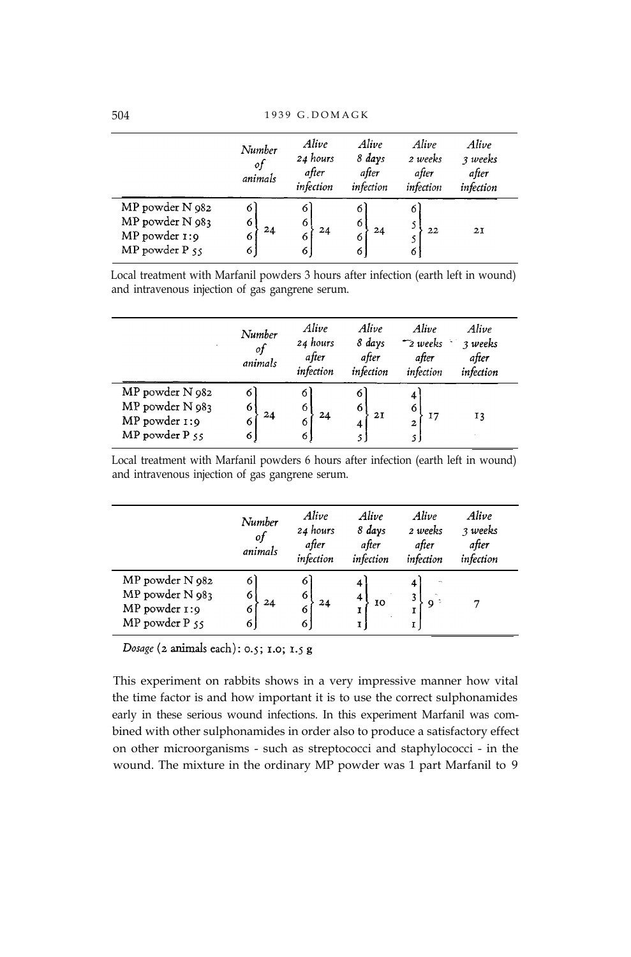|                                                                       | Number<br>of<br>animals | Alive<br>24 hours<br>after<br>infection | Alive<br>8 days<br>after<br>infection | Alive<br>2 weeks<br>after<br>infection | Alive<br>3 weeks<br>after<br>infection |  |
|-----------------------------------------------------------------------|-------------------------|-----------------------------------------|---------------------------------------|----------------------------------------|----------------------------------------|--|
| MP powder N 982<br>MP powder N 983<br>MP powder 1:9<br>MP powder P 55 | 6<br>24<br>0<br>o       | o<br>o<br>6                             | υ<br>6<br>24<br>о<br>۰                | o<br>22<br>6                           | 2I                                     |  |

Local treatment with Marfanil powders 3 hours after infection (earth left in wound) and intravenous injection of gas gangrene serum.

|                                                                           | Number<br>01<br>animals | Alive<br>24 hours<br>after<br>infection | Alive<br>8 days<br>after<br>infection | Alive<br>$\mathcal{L}$ weeks<br>after<br>infection | Alive<br>3 weeks<br>after<br>infection |
|---------------------------------------------------------------------------|-------------------------|-----------------------------------------|---------------------------------------|----------------------------------------------------|----------------------------------------|
| MP powder N 982<br>MP powder N 983<br>MP powder 1:9<br>MP powder $P_{55}$ | 24<br>o<br>6            | O<br>Ω                                  | o<br>21                               | 17<br>2                                            | 13                                     |

Local treatment with Marfanil powders 6 hours after infection (earth left in wound) and intravenous injection of gas gangrene serum.

|                                                                       | Number<br>of<br>animals | Alive<br>24 hours<br>after<br>infection | Alive<br>8 days<br>after<br>infection | Alive<br>2 weeks<br>after<br>infection | Alive<br>3 weeks<br>after<br>infection |  |
|-----------------------------------------------------------------------|-------------------------|-----------------------------------------|---------------------------------------|----------------------------------------|----------------------------------------|--|
| MP powder N 982<br>MP powder N 983<br>MP powder 1:9<br>MP powder P 55 | 24<br>6                 | о<br>24<br>o                            | 10                                    | 9                                      |                                        |  |

Dosage (2 animals each): 0.5; 1.0; 1.5 g

This experiment on rabbits shows in a very impressive manner how vital the time factor is and how important it is to use the correct sulphonamides early in these serious wound infections. In this experiment Marfanil was combined with other sulphonamides in order also to produce a satisfactory effect on other microorganisms - such as streptococci and staphylococci - in the wound. The mixture in the ordinary MP powder was 1 part Marfanil to 9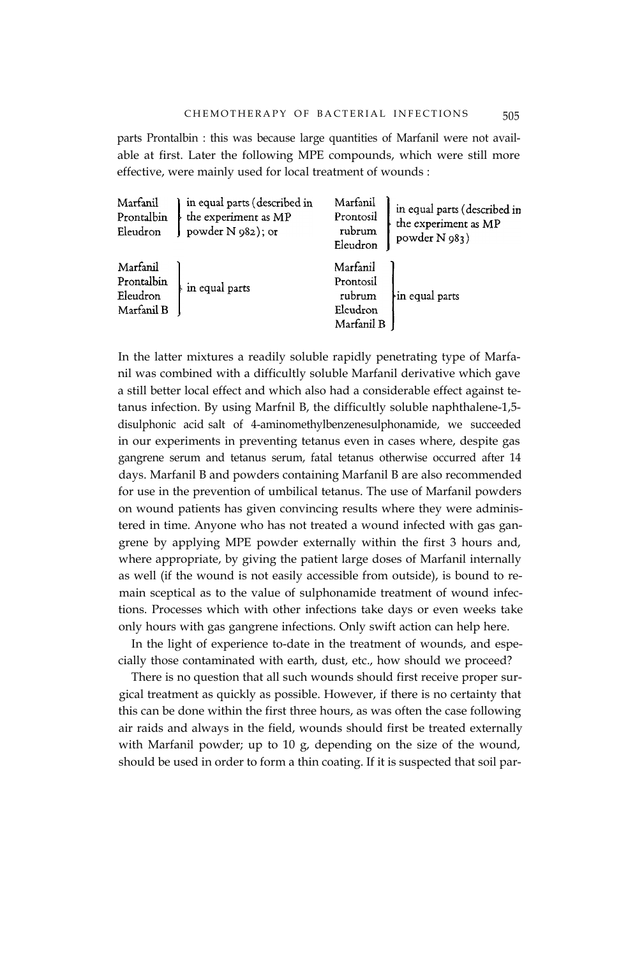parts Prontalbin : this was because large quantities of Marfanil were not available at first. Later the following MPE compounds, which were still more effective, were mainly used for local treatment of wounds :

| Marfanil<br>Prontalbin<br>Eleudron               | in equal parts (described in<br>the experiment as MP<br>powder N 982); or | Marfanil<br>Prontosil<br>rubrum<br>Eleudron               | in equal parts (described in<br>the experiment as MP<br>powder N 983) |
|--------------------------------------------------|---------------------------------------------------------------------------|-----------------------------------------------------------|-----------------------------------------------------------------------|
| Marfanil<br>Prontalbin<br>Eleudron<br>Marfanil B | in equal parts                                                            | Marfanil<br>Prontosil<br>rubrum<br>Eleudron<br>Marfanil B | $\ln$ equal parts                                                     |

In the latter mixtures a readily soluble rapidly penetrating type of Marfanil was combined with a difficultly soluble Marfanil derivative which gave a still better local effect and which also had a considerable effect against tetanus infection. By using Marfnil B, the difficultly soluble naphthalene-1,5 disulphonic acid salt of 4-aminomethylbenzenesulphonamide, we succeeded in our experiments in preventing tetanus even in cases where, despite gas gangrene serum and tetanus serum, fatal tetanus otherwise occurred after 14 days. Marfanil B and powders containing Marfanil B are also recommended for use in the prevention of umbilical tetanus. The use of Marfanil powders on wound patients has given convincing results where they were administered in time. Anyone who has not treated a wound infected with gas gangrene by applying MPE powder externally within the first 3 hours and, where appropriate, by giving the patient large doses of Marfanil internally as well (if the wound is not easily accessible from outside), is bound to remain sceptical as to the value of sulphonamide treatment of wound infections. Processes which with other infections take days or even weeks take only hours with gas gangrene infections. Only swift action can help here.

In the light of experience to-date in the treatment of wounds, and especially those contaminated with earth, dust, etc., how should we proceed?

There is no question that all such wounds should first receive proper surgical treatment as quickly as possible. However, if there is no certainty that this can be done within the first three hours, as was often the case following air raids and always in the field, wounds should first be treated externally with Marfanil powder; up to 10 g, depending on the size of the wound, should be used in order to form a thin coating. If it is suspected that soil par-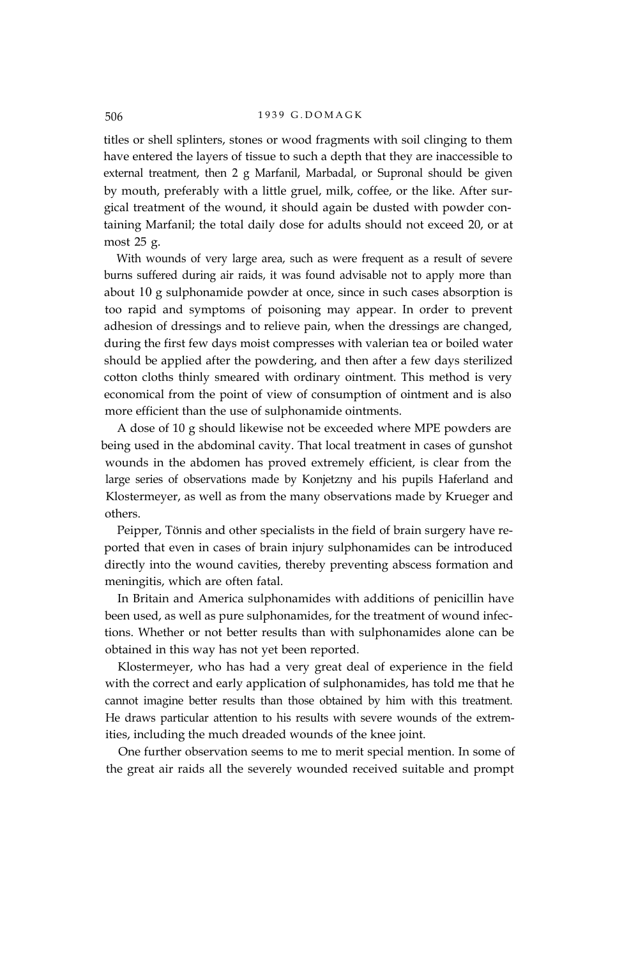titles or shell splinters, stones or wood fragments with soil clinging to them have entered the layers of tissue to such a depth that they are inaccessible to external treatment, then 2 g Marfanil, Marbadal, or Supronal should be given by mouth, preferably with a little gruel, milk, coffee, or the like. After surgical treatment of the wound, it should again be dusted with powder containing Marfanil; the total daily dose for adults should not exceed 20, or at most 25 g.

With wounds of very large area, such as were frequent as a result of severe burns suffered during air raids, it was found advisable not to apply more than about 10 g sulphonamide powder at once, since in such cases absorption is too rapid and symptoms of poisoning may appear. In order to prevent adhesion of dressings and to relieve pain, when the dressings are changed, during the first few days moist compresses with valerian tea or boiled water should be applied after the powdering, and then after a few days sterilized cotton cloths thinly smeared with ordinary ointment. This method is very economical from the point of view of consumption of ointment and is also more efficient than the use of sulphonamide ointments.

A dose of 10 g should likewise not be exceeded where MPE powders are being used in the abdominal cavity. That local treatment in cases of gunshot wounds in the abdomen has proved extremely efficient, is clear from the large series of observations made by Konjetzny and his pupils Haferland and Klostermeyer, as well as from the many observations made by Krueger and others.

Peipper, Tönnis and other specialists in the field of brain surgery have reported that even in cases of brain injury sulphonamides can be introduced directly into the wound cavities, thereby preventing abscess formation and meningitis, which are often fatal.

In Britain and America sulphonamides with additions of penicillin have been used, as well as pure sulphonamides, for the treatment of wound infections. Whether or not better results than with sulphonamides alone can be obtained in this way has not yet been reported.

Klostermeyer, who has had a very great deal of experience in the field with the correct and early application of sulphonamides, has told me that he cannot imagine better results than those obtained by him with this treatment. He draws particular attention to his results with severe wounds of the extremities, including the much dreaded wounds of the knee joint.

One further observation seems to me to merit special mention. In some of the great air raids all the severely wounded received suitable and prompt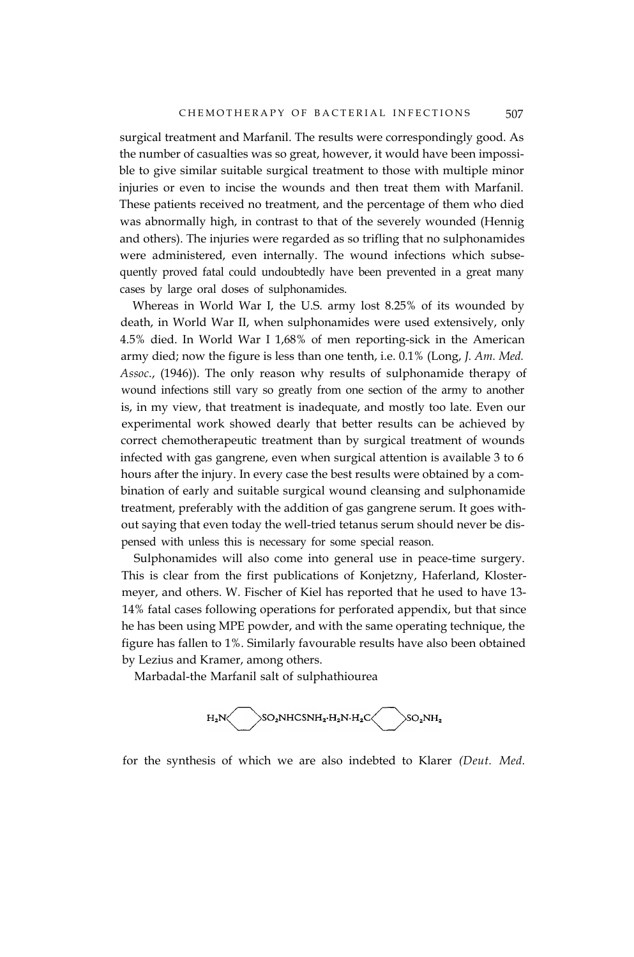surgical treatment and Marfanil. The results were correspondingly good. As the number of casualties was so great, however, it would have been impossible to give similar suitable surgical treatment to those with multiple minor injuries or even to incise the wounds and then treat them with Marfanil. These patients received no treatment, and the percentage of them who died was abnormally high, in contrast to that of the severely wounded (Hennig and others). The injuries were regarded as so trifling that no sulphonamides were administered, even internally. The wound infections which subsequently proved fatal could undoubtedly have been prevented in a great many cases by large oral doses of sulphonamides.

Whereas in World War I, the U.S. army lost 8.25% of its wounded by death, in World War II, when sulphonamides were used extensively, only 4.5% died. In World War I 1,68% of men reporting-sick in the American army died; now the figure is less than one tenth, i.e. 0.1% (Long, *J. Am. Med. Assoc*., (1946)). The only reason why results of sulphonamide therapy of wound infections still vary so greatly from one section of the army to another is, in my view, that treatment is inadequate, and mostly too late. Even our experimental work showed dearly that better results can be achieved by correct chemotherapeutic treatment than by surgical treatment of wounds infected with gas gangrene, even when surgical attention is available 3 to 6 hours after the injury. In every case the best results were obtained by a combination of early and suitable surgical wound cleansing and sulphonamide treatment, preferably with the addition of gas gangrene serum. It goes without saying that even today the well-tried tetanus serum should never be dispensed with unless this is necessary for some special reason.

Sulphonamides will also come into general use in peace-time surgery. This is clear from the first publications of Konjetzny, Haferland, Klostermeyer, and others. W. Fischer of Kiel has reported that he used to have 13- 14% fatal cases following operations for perforated appendix, but that since he has been using MPE powder, and with the same operating technique, the figure has fallen to 1%. Similarly favourable results have also been obtained by Lezius and Kramer, among others.

Marbadal-the Marfanil salt of sulphathiourea



for the synthesis of which we are also indebted to Klarer *(Deut. Med.*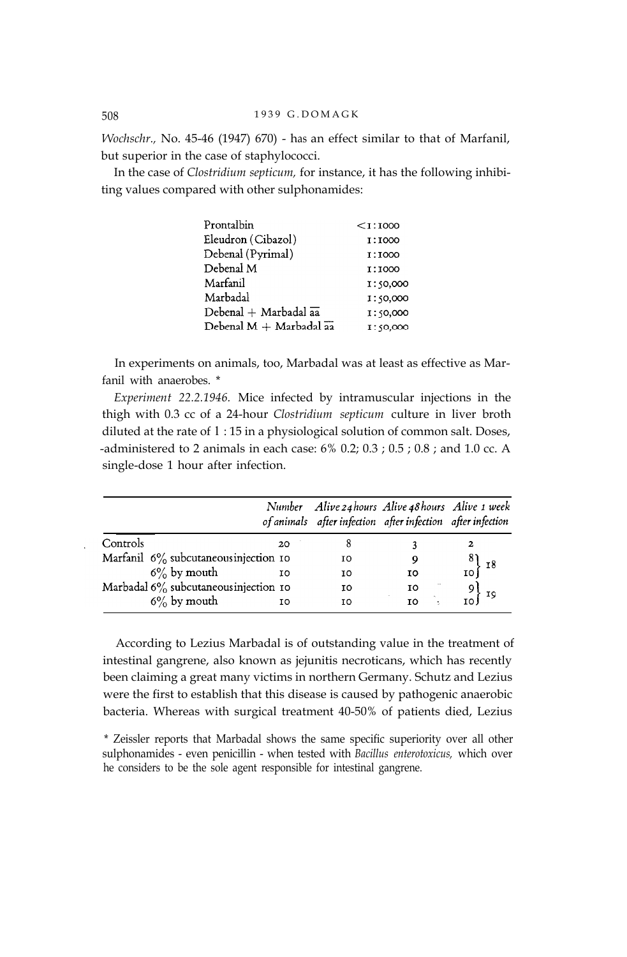*Wochschr.,* No. 45-46 (1947) 670) - has an effect similar to that of Marfanil, but superior in the case of staphylococci.

In the case of *Clostridium septicum,* for instance, it has the following inhibiting values compared with other sulphonamides:

| Prontalbin                         | $<$ I:1000 |
|------------------------------------|------------|
| Eleudron (Cibazol)                 | 1:1000     |
| Debenal (Pyrimal)                  | 1:1000     |
| Debenal M                          | I:1000     |
| Marfanil                           | I: \$0,000 |
| Marbadal                           | 1:50,000   |
| Debenal + Marbadal $\overline{aa}$ | I: 50,000  |
| Debenal $M + \text{Marbadal}$ aa   | I:50,000   |

In experiments on animals, too, Marbadal was at least as effective as Marfanil with anaerobes. \*

*Experiment 22.2.1946.* Mice infected by intramuscular injections in the thigh with 0.3 cc of a 24-hour *Clostridium septicum* culture in liver broth diluted at the rate of 1 : 15 in a physiological solution of common salt. Doses, -administered to 2 animals in each case:  $6\%$  0.2; 0.3; 0.5; 0.8; and 1.0 cc. A single-dose 1 hour after infection.

|          |                                          |    | Number Alive 24 hours Alive 48 hours Alive 1 week<br>of animals after infection after infection after infection |    |  |
|----------|------------------------------------------|----|-----------------------------------------------------------------------------------------------------------------|----|--|
| Controls |                                          | 20 |                                                                                                                 |    |  |
|          | Marfanil $6\%$ subcutaneous injection 10 |    | 10                                                                                                              |    |  |
|          | $6\%$ by mouth                           | 10 | 10                                                                                                              | 10 |  |
|          | Marbadal 6% subcutaneous injection 10    |    | TÓ                                                                                                              | 10 |  |
|          | $6\%$ by mouth                           | 10 | 10                                                                                                              | т٥ |  |

According to Lezius Marbadal is of outstanding value in the treatment of intestinal gangrene, also known as jejunitis necroticans, which has recently been claiming a great many victims in northern Germany. Schutz and Lezius were the first to establish that this disease is caused by pathogenic anaerobic bacteria. Whereas with surgical treatment 40-50% of patients died, Lezius

\* Zeissler reports that Marbadal shows the same specific superiority over all other sulphonamides - even penicillin - when tested with *Bacillus enterotoxicus,* which over he considers to be the sole agent responsible for intestinal gangrene.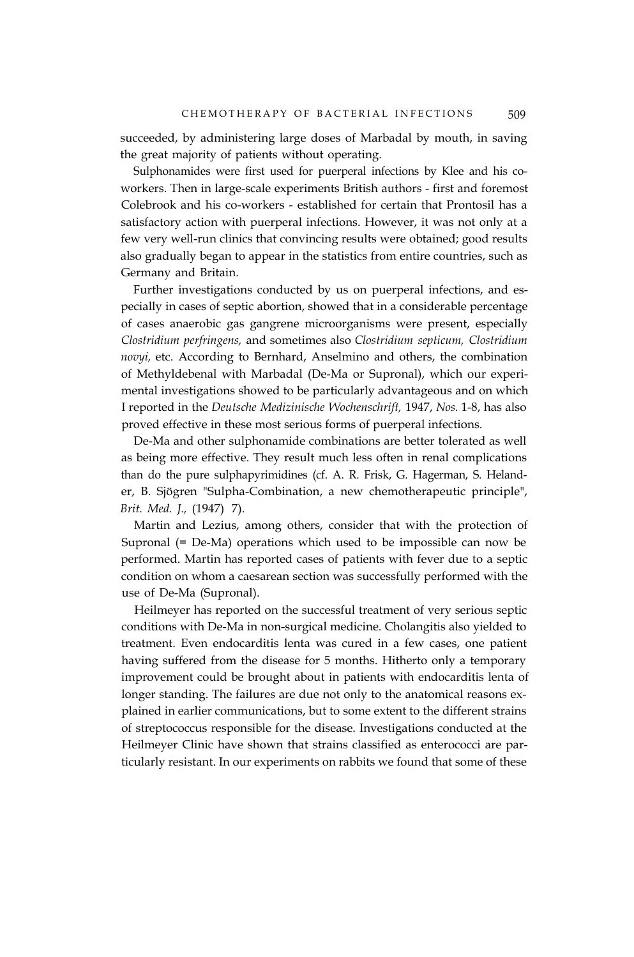succeeded, by administering large doses of Marbadal by mouth, in saving the great majority of patients without operating.

Sulphonamides were first used for puerperal infections by Klee and his coworkers. Then in large-scale experiments British authors - first and foremost Colebrook and his co-workers - established for certain that Prontosil has a satisfactory action with puerperal infections. However, it was not only at a few very well-run clinics that convincing results were obtained; good results also gradually began to appear in the statistics from entire countries, such as Germany and Britain.

Further investigations conducted by us on puerperal infections, and especially in cases of septic abortion, showed that in a considerable percentage of cases anaerobic gas gangrene microorganisms were present, especially *Clostridium perfringens,* and sometimes also *Clostridium septicum, Clostridium novyi,* etc. According to Bernhard, Anselmino and others, the combination of Methyldebenal with Marbadal (De-Ma or Supronal), which our experimental investigations showed to be particularly advantageous and on which I reported in the *Deutsche Medizinische Wochenschrift,* 1947, *Nos.* 1-8, has also proved effective in these most serious forms of puerperal infections.

De-Ma and other sulphonamide combinations are better tolerated as well as being more effective. They result much less often in renal complications than do the pure sulphapyrimidines (cf. A. R. Frisk, G. Hagerman, S. Helander, B. Sjögren "Sulpha-Combination, a new chemotherapeutic principle", *Brit. Med. J.,* (1947) 7).

Martin and Lezius, among others, consider that with the protection of Supronal (= De-Ma) operations which used to be impossible can now be performed. Martin has reported cases of patients with fever due to a septic condition on whom a caesarean section was successfully performed with the use of De-Ma (Supronal).

Heilmeyer has reported on the successful treatment of very serious septic conditions with De-Ma in non-surgical medicine. Cholangitis also yielded to treatment. Even endocarditis lenta was cured in a few cases, one patient having suffered from the disease for 5 months. Hitherto only a temporary improvement could be brought about in patients with endocarditis lenta of longer standing. The failures are due not only to the anatomical reasons explained in earlier communications, but to some extent to the different strains of streptococcus responsible for the disease. Investigations conducted at the Heilmeyer Clinic have shown that strains classified as enterococci are particularly resistant. In our experiments on rabbits we found that some of these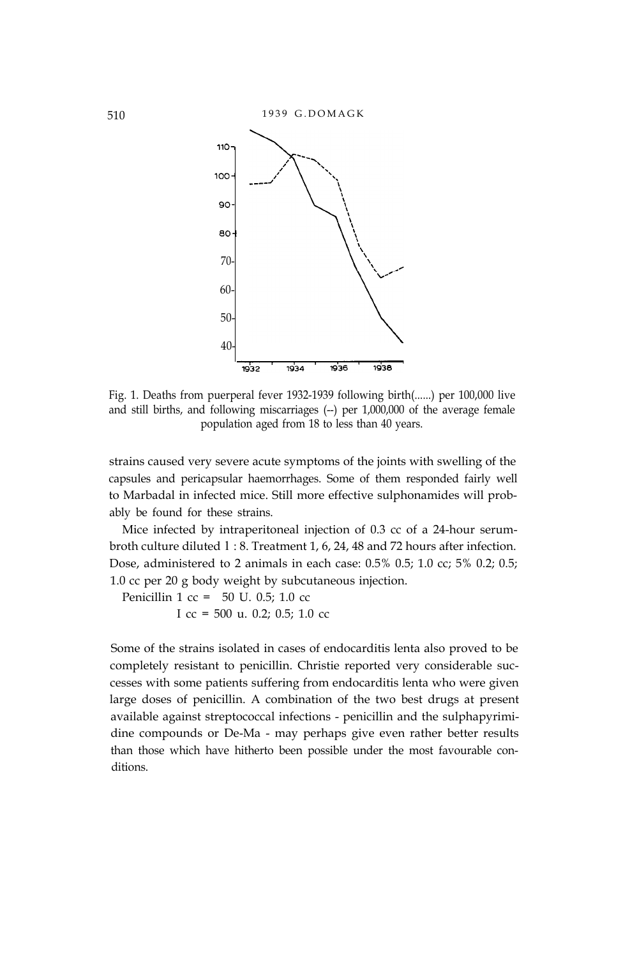

Fig. 1. Deaths from puerperal fever 1932-1939 following birth(......) per 100,000 live and still births, and following miscarriages (--) per 1,000,000 of the average female population aged from 18 to less than 40 years.

strains caused very severe acute symptoms of the joints with swelling of the capsules and pericapsular haemorrhages. Some of them responded fairly well to Marbadal in infected mice. Still more effective sulphonamides will probably be found for these strains.

Mice infected by intraperitoneal injection of 0.3 cc of a 24-hour serumbroth culture diluted 1 : 8. Treatment 1, 6, 24, 48 and 72 hours after infection. Dose, administered to 2 animals in each case: 0.5% 0.5; 1.0 cc; 5% 0.2; 0.5; 1.0 cc per 20 g body weight by subcutaneous injection.

Penicillin 1 cc = 50 U. 0.5; 1.0 cc I cc = 500 u. 0.2; 0.5; 1.0 cc

Some of the strains isolated in cases of endocarditis lenta also proved to be completely resistant to penicillin. Christie reported very considerable successes with some patients suffering from endocarditis lenta who were given large doses of penicillin. A combination of the two best drugs at present available against streptococcal infections - penicillin and the sulphapyrimidine compounds or De-Ma - may perhaps give even rather better results than those which have hitherto been possible under the most favourable conditions.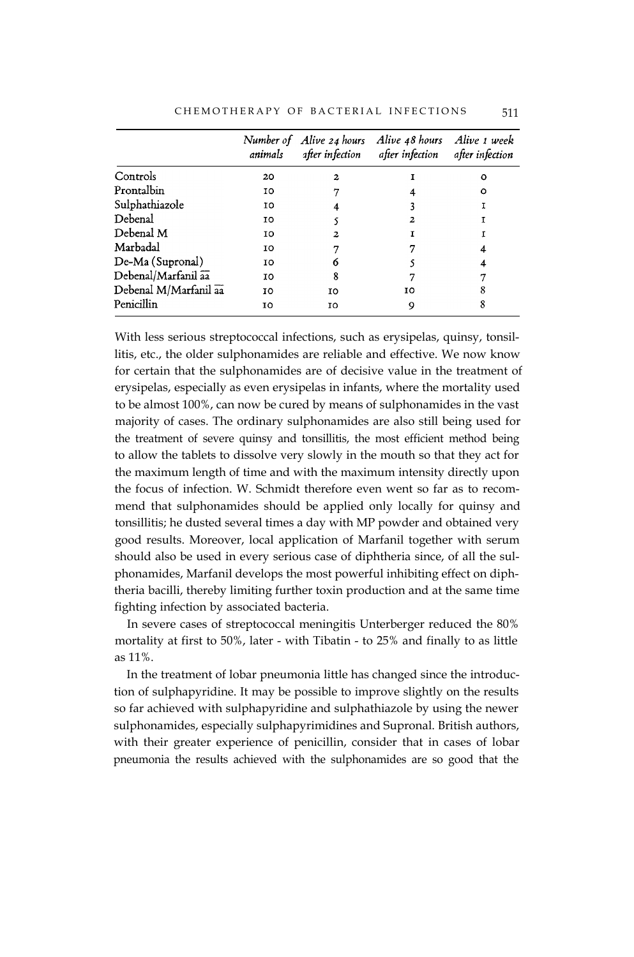| CHEMOTHERAPY OF BACTERIAL INFECTIONS |  |  |  | 511 |
|--------------------------------------|--|--|--|-----|
|--------------------------------------|--|--|--|-----|

|                       | animals | Number of Alive 24 hours<br>after infection | Alive 48 hours Alive 1 week<br>after infection after infection |   |
|-----------------------|---------|---------------------------------------------|----------------------------------------------------------------|---|
| Controls              | 20      | 2                                           |                                                                | ٥ |
| Prontalbin            | 10      |                                             |                                                                | ٥ |
| Sulphathiazole        | 10      |                                             |                                                                |   |
| Debenal               | 10      |                                             | 2                                                              |   |
| Debenal M             | 10      | 2                                           |                                                                |   |
| Marbadal              | 10      |                                             |                                                                |   |
| De-Ma (Supronal)      | 10      | 6                                           |                                                                |   |
| Debenal/Marfanil aa   | 10      | 8                                           |                                                                |   |
| Debenal M/Marfanil aa | 10      | IΟ                                          | 10                                                             | 8 |
| Penicillin            | 10      | 10                                          | 9                                                              | 8 |

With less serious streptococcal infections, such as erysipelas, quinsy, tonsillitis, etc., the older sulphonamides are reliable and effective. We now know for certain that the sulphonamides are of decisive value in the treatment of erysipelas, especially as even erysipelas in infants, where the mortality used to be almost 100%, can now be cured by means of sulphonamides in the vast majority of cases. The ordinary sulphonamides are also still being used for the treatment of severe quinsy and tonsillitis, the most efficient method being to allow the tablets to dissolve very slowly in the mouth so that they act for the maximum length of time and with the maximum intensity directly upon the focus of infection. W. Schmidt therefore even went so far as to recommend that sulphonamides should be applied only locally for quinsy and tonsillitis; he dusted several times a day with MP powder and obtained very good results. Moreover, local application of Marfanil together with serum should also be used in every serious case of diphtheria since, of all the sulphonamides, Marfanil develops the most powerful inhibiting effect on diphtheria bacilli, thereby limiting further toxin production and at the same time fighting infection by associated bacteria.

In severe cases of streptococcal meningitis Unterberger reduced the 80% mortality at first to 50%, later - with Tibatin - to 25% and finally to as little as 11%.

In the treatment of lobar pneumonia little has changed since the introduction of sulphapyridine. It may be possible to improve slightly on the results so far achieved with sulphapyridine and sulphathiazole by using the newer sulphonamides, especially sulphapyrimidines and Supronal. British authors, with their greater experience of penicillin, consider that in cases of lobar pneumonia the results achieved with the sulphonamides are so good that the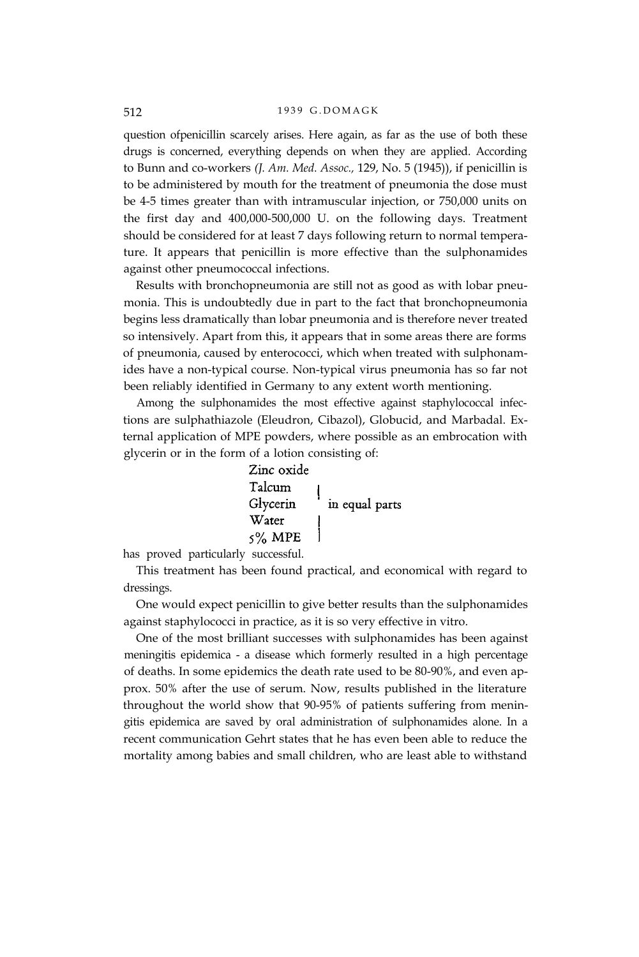question ofpenicillin scarcely arises. Here again, as far as the use of both these drugs is concerned, everything depends on when they are applied. According to Bunn and co-workers *(J. Am. Med. Assoc.,* 129, No. 5 (1945)), if penicillin is to be administered by mouth for the treatment of pneumonia the dose must be 4-5 times greater than with intramuscular injection, or 750,000 units on the first day and 400,000-500,000 U. on the following days. Treatment should be considered for at least 7 days following return to normal temperature. It appears that penicillin is more effective than the sulphonamides against other pneumococcal infections.

Results with bronchopneumonia are still not as good as with lobar pneumonia. This is undoubtedly due in part to the fact that bronchopneumonia begins less dramatically than lobar pneumonia and is therefore never treated so intensively. Apart from this, it appears that in some areas there are forms of pneumonia, caused by enterococci, which when treated with sulphonamides have a non-typical course. Non-typical virus pneumonia has so far not been reliably identified in Germany to any extent worth mentioning.

Among the sulphonamides the most effective against staphylococcal infections are sulphathiazole (Eleudron, Cibazol), Globucid, and Marbadal. External application of MPE powders, where possible as an embrocation with glycerin or in the form of a lotion consisting of:

| Zinc oxide |                |
|------------|----------------|
| Talcum     |                |
| Glycerin   | in equal parts |
| Water      |                |
| 5% MPE     |                |

has proved particularly successful.

This treatment has been found practical, and economical with regard to dressings.

One would expect penicillin to give better results than the sulphonamides against staphylococci in practice, as it is so very effective in vitro.

One of the most brilliant successes with sulphonamides has been against meningitis epidemica - a disease which formerly resulted in a high percentage of deaths. In some epidemics the death rate used to be 80-90%, and even approx. 50% after the use of serum. Now, results published in the literature throughout the world show that 90-95% of patients suffering from meningitis epidemica are saved by oral administration of sulphonamides alone. In a recent communication Gehrt states that he has even been able to reduce the mortality among babies and small children, who are least able to withstand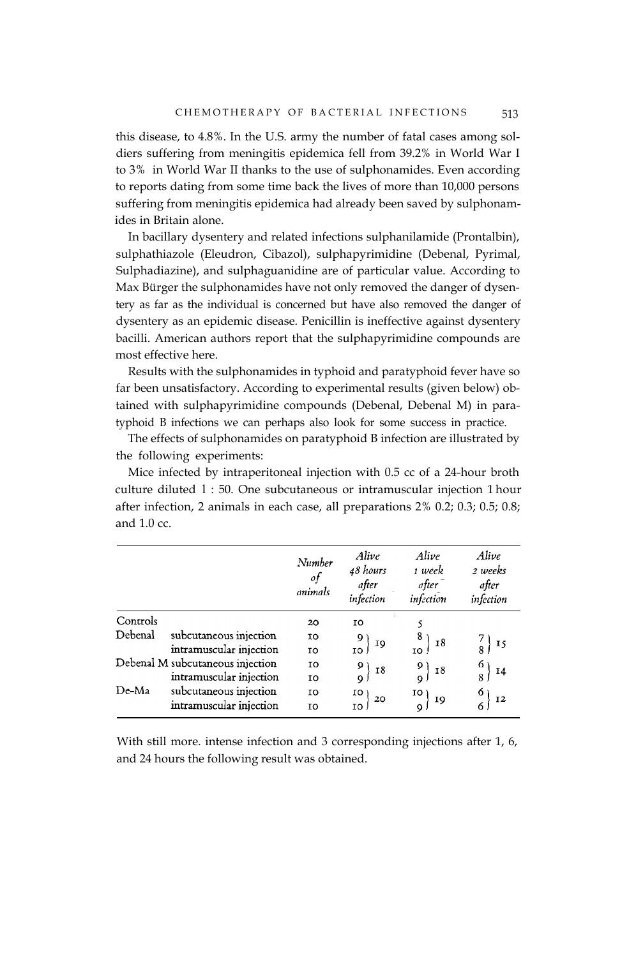this disease, to 4.8%. In the U.S. army the number of fatal cases among soldiers suffering from meningitis epidemica fell from 39.2% in World War I to 3% in World War II thanks to the use of sulphonamides. Even according to reports dating from some time back the lives of more than 10,000 persons suffering from meningitis epidemica had already been saved by sulphonamides in Britain alone.

In bacillary dysentery and related infections sulphanilamide (Prontalbin), sulphathiazole (Eleudron, Cibazol), sulphapyrimidine (Debenal, Pyrimal, Sulphadiazine), and sulphaguanidine are of particular value. According to Max Bürger the sulphonamides have not only removed the danger of dysentery as far as the individual is concerned but have also removed the danger of dysentery as an epidemic disease. Penicillin is ineffective against dysentery bacilli. American authors report that the sulphapyrimidine compounds are most effective here.

Results with the sulphonamides in typhoid and paratyphoid fever have so far been unsatisfactory. According to experimental results (given below) obtained with sulphapyrimidine compounds (Debenal, Debenal M) in paratyphoid B infections we can perhaps also look for some success in practice.

The effects of sulphonamides on paratyphoid B infection are illustrated by the following experiments:

Mice infected by intraperitoneal injection with 0.5 cc of a 24-hour broth culture diluted 1 : 50. One subcutaneous or intramuscular injection 1 hour after infection, 2 animals in each case, all preparations 2% 0.2; 0.3; 0.5; 0.8; and 1.0 cc.

|          |                                  | Number<br>of<br>animals | Alive<br>48 hours<br>after<br>infection | Alive<br>1 week<br>after<br>infection | Alive<br>2 weeks<br>after<br>infection |
|----------|----------------------------------|-------------------------|-----------------------------------------|---------------------------------------|----------------------------------------|
| Controls |                                  | 20                      | 10                                      |                                       |                                        |
| Debenal  | subcutaneous injection           | 10                      | 9                                       |                                       |                                        |
|          | intramuscular injection          | 10                      | 19<br>IΟ                                | <b>18</b><br>IΟ                       | $\mathbf{I}$                           |
|          | Debenal M subcutaneous injection | 10                      | 9<br><b>18</b>                          | 9<br>18                               | 6)                                     |
|          | intramuscular injection          | <b>IO</b>               | $\overline{Q}$                          | Q                                     | 14                                     |
| De-Ma    | subcutaneous injection           | IΟ                      | 10                                      | 10)                                   | 6                                      |
|          | intramuscular injection          | 10                      | 20<br>IΟ                                | 19                                    | I <sub>2</sub>                         |

With still more, intense infection and 3 corresponding injections after 1, 6, and 24 hours the following result was obtained.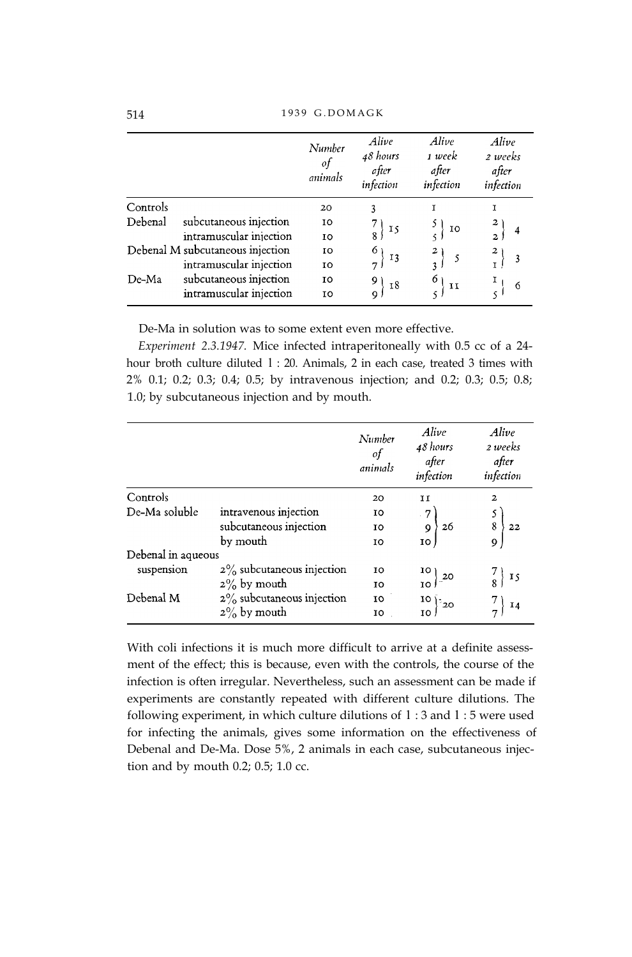514 1939 G.DOMAGK

|          |                                  | Number<br>$\circ f$<br>animals | Alive<br>48 hours<br>ofter<br>infection | Alive<br>1 week<br>after<br>infection | Alive<br>2 weeks<br>after<br>infection |
|----------|----------------------------------|--------------------------------|-----------------------------------------|---------------------------------------|----------------------------------------|
| Controls |                                  | 20                             |                                         |                                       |                                        |
| Debenal  | subcutaneous injection           | 10                             | $\mathbf{I}$                            | IO                                    |                                        |
|          | intramuscular injection          | 10                             |                                         |                                       |                                        |
|          | Debenal M subcutaneous injection | 10                             | 6<br>13                                 |                                       | 3                                      |
|          | intramuscular injection          | 10                             | 7                                       |                                       |                                        |
| De-Ma    | subcutaneous injection           | 10                             | 9.<br><b>18</b>                         | II                                    | 6                                      |
|          | intramuscular injection          | IΟ                             |                                         |                                       |                                        |

De-Ma in solution was to some extent even more effective.

*Experiment 2.3.1947.* Mice infected intraperitoneally with 0.5 cc of a 24 hour broth culture diluted 1 : 20. Animals, 2 in each case, treated 3 times with 2% 0.1; 0.2; 0.3; 0.4; 0.5; by intravenous injection; and 0.2; 0.3; 0.5; 0.8; 1.0; by subcutaneous injection and by mouth.

|                    |                              | Number<br>of<br>animals | Alive<br>48 hours<br>after<br>infection     | Alive<br>2 weeks<br>after<br>infection |
|--------------------|------------------------------|-------------------------|---------------------------------------------|----------------------------------------|
| Controls           |                              | 20                      | IΙ                                          | $\mathbf{z}$                           |
| De-Ma soluble      | intravenous injection        | 10                      |                                             |                                        |
|                    | subcutaneous injection       | 10                      | $\begin{array}{c} 7 \\ 9 \end{array}$<br>26 | $\boldsymbol{8}$<br>22                 |
|                    | by mouth                     | 10                      | 10                                          |                                        |
| Debenal in aqueous |                              |                         |                                             |                                        |
| suspension         | $2\%$ subcutaneous injection | 10                      | 10                                          | $\mathbf{I}$                           |
|                    | $2\%$ by mouth               | ΙO                      | $_{10}$ $\rangle$ $^{20}$                   |                                        |
| Debenal M          | $2\%$ subcutaneous injection | <b>IO</b>               | IO $\mathfrak{f}_{^{z}20}$                  |                                        |
|                    | $2\%$ by mouth               | 10                      | IО                                          |                                        |

With coli infections it is much more difficult to arrive at a definite assessment of the effect; this is because, even with the controls, the course of the infection is often irregular. Nevertheless, such an assessment can be made if experiments are constantly repeated with different culture dilutions. The following experiment, in which culture dilutions of 1 : 3 and 1 : 5 were used for infecting the animals, gives some information on the effectiveness of Debenal and De-Ma. Dose 5%, 2 animals in each case, subcutaneous injection and by mouth 0.2; 0.5; 1.0 cc.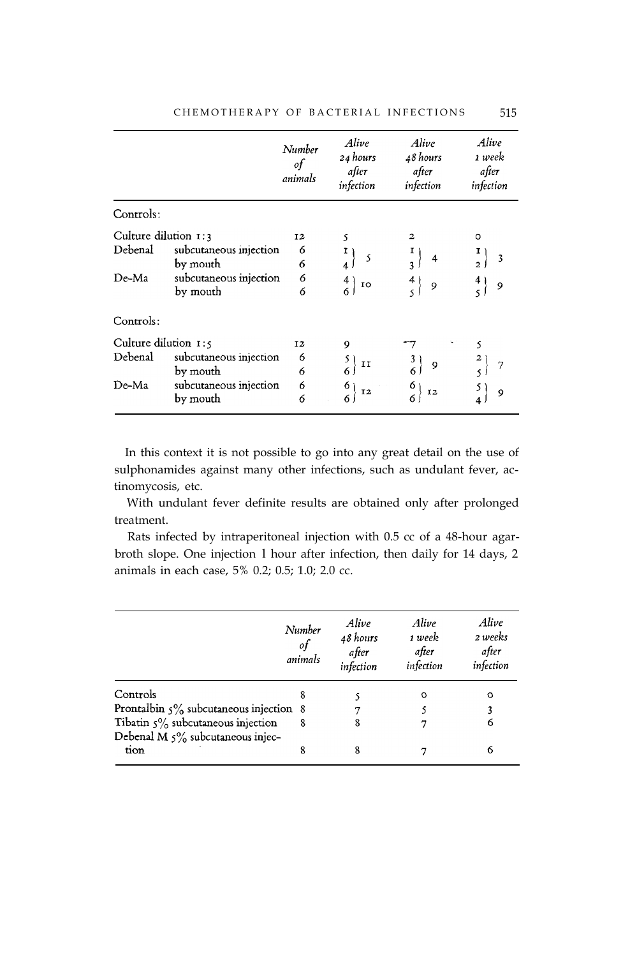|                      |                        | Number<br>$\mathcal{A}$<br>animals | Alive<br>24 hours<br>after<br>infection | Alive<br>48 hours<br>after<br>infection | Alive<br>1 week<br>after<br>infection |
|----------------------|------------------------|------------------------------------|-----------------------------------------|-----------------------------------------|---------------------------------------|
| Controls:            |                        |                                    |                                         |                                         |                                       |
| Culture dilution 1:3 |                        | I2                                 |                                         | $\mathbf{z}$                            | o                                     |
| Debenal              | subcutaneous injection | 6                                  |                                         |                                         |                                       |
|                      | by mouth               | 6                                  | 5                                       | 4                                       | 3<br>$\overline{2}$                   |
| De-Ma                | subcutaneous injection | 6                                  | $\frac{4}{6}$<br>IO                     | 9                                       | 9                                     |
|                      | by mouth               | 6                                  |                                         |                                         |                                       |
| Controls:            |                        |                                    |                                         |                                         |                                       |
| Culture dilution 1:5 |                        | 12                                 | 9                                       |                                         |                                       |
| Debenal              | subcutaneous injection | 6                                  | II                                      |                                         |                                       |
|                      | by mouth               | 6                                  |                                         | 9                                       | 7                                     |
| De-Ma                | subcutaneous injection | 6                                  | 6<br><b>I2</b>                          | 12                                      | 9                                     |
|                      | by mouth               | 6                                  |                                         |                                         |                                       |

In this context it is not possible to go into any great detail on the use of sulphonamides against many other infections, such as undulant fever, actinomycosis, etc.

With undulant fever definite results are obtained only after prolonged treatment.

Rats infected by intraperitoneal injection with 0.5 cc of a 48-hour agarbroth slope. One injection 1 hour after infection, then daily for 14 days, 2 animals in each case, 5% 0.2; 0.5; 1.0; 2.0 cc.

|                                                                          | Number<br>$\circ f$<br>animals | Alive<br>48 hours<br>after<br>infection | Alive<br>1 week<br>after<br>infection | Alive<br>2 weeks<br>after<br>infection |
|--------------------------------------------------------------------------|--------------------------------|-----------------------------------------|---------------------------------------|----------------------------------------|
| Controls                                                                 |                                |                                         | O                                     | o                                      |
| Prontalbin $5\%$ subcutaneous injection 8                                |                                |                                         |                                       |                                        |
| Tibatin $5\%$ subcutaneous injection<br>Debenal M 5% subcutaneous injec- | 8                              | 8                                       |                                       | 6                                      |
| tion                                                                     |                                |                                         |                                       | 6                                      |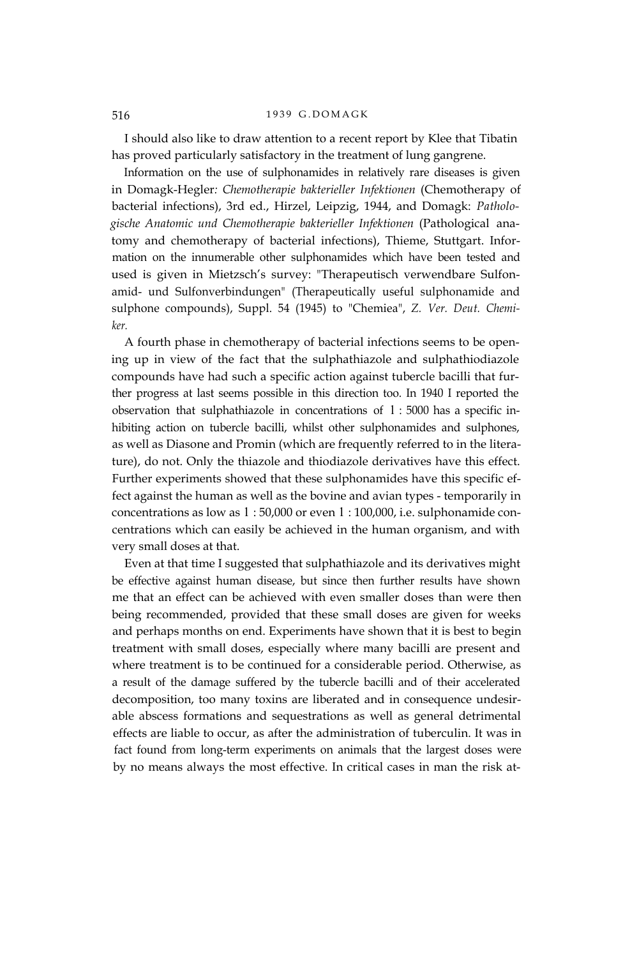I should also like to draw attention to a recent report by Klee that Tibatin has proved particularly satisfactory in the treatment of lung gangrene.

Information on the use of sulphonamides in relatively rare diseases is given in Domagk-Hegler*: Chemotherapie bakterieller Infektionen* (Chemotherapy of bacterial infections), 3rd ed., Hirzel, Leipzig, 1944, and Domagk: *Pathologische Anatomic und Chemotherapie bakterieller Infektionen* (Pathological anatomy and chemotherapy of bacterial infections), Thieme, Stuttgart. Information on the innumerable other sulphonamides which have been tested and used is given in Mietzsch's survey: "Therapeutisch verwendbare Sulfonamid- und Sulfonverbindungen" (Therapeutically useful sulphonamide and sulphone compounds), Suppl. 54 (1945) to "Chemiea", *Z. Ver. Deut. Chemiker.*

A fourth phase in chemotherapy of bacterial infections seems to be opening up in view of the fact that the sulphathiazole and sulphathiodiazole compounds have had such a specific action against tubercle bacilli that further progress at last seems possible in this direction too. In 1940 I reported the observation that sulphathiazole in concentrations of 1 : 5000 has a specific inhibiting action on tubercle bacilli, whilst other sulphonamides and sulphones, as well as Diasone and Promin (which are frequently referred to in the literature), do not. Only the thiazole and thiodiazole derivatives have this effect. Further experiments showed that these sulphonamides have this specific effect against the human as well as the bovine and avian types - temporarily in concentrations as low as 1 : 50,000 or even 1 : 100,000, i.e. sulphonamide concentrations which can easily be achieved in the human organism, and with very small doses at that.

Even at that time I suggested that sulphathiazole and its derivatives might be effective against human disease, but since then further results have shown me that an effect can be achieved with even smaller doses than were then being recommended, provided that these small doses are given for weeks and perhaps months on end. Experiments have shown that it is best to begin treatment with small doses, especially where many bacilli are present and where treatment is to be continued for a considerable period. Otherwise, as a result of the damage suffered by the tubercle bacilli and of their accelerated decomposition, too many toxins are liberated and in consequence undesirable abscess formations and sequestrations as well as general detrimental effects are liable to occur, as after the administration of tuberculin. It was in fact found from long-term experiments on animals that the largest doses were by no means always the most effective. In critical cases in man the risk at-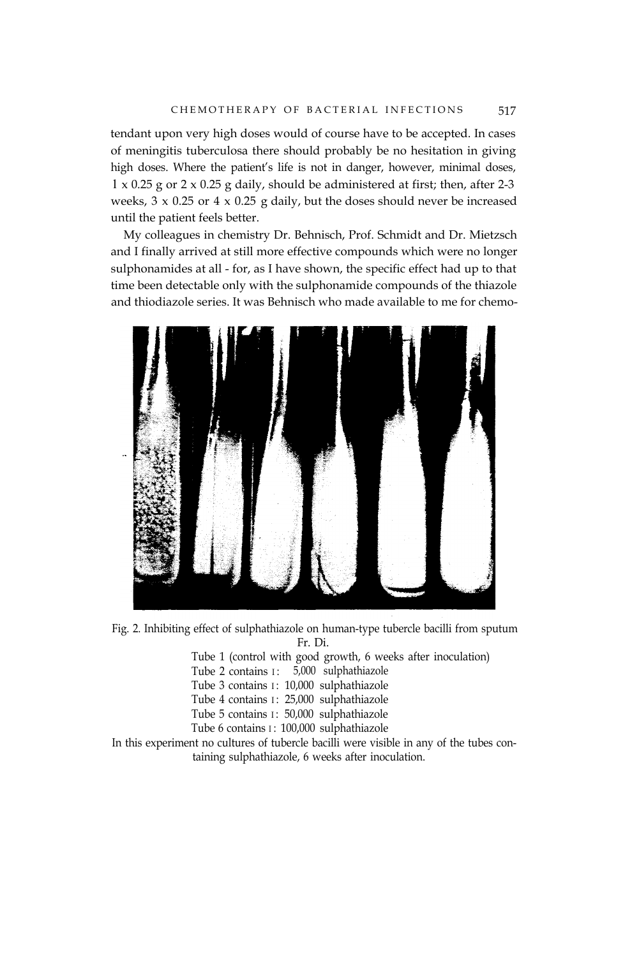tendant upon very high doses would of course have to be accepted. In cases of meningitis tuberculosa there should probably be no hesitation in giving high doses. Where the patient's life is not in danger, however, minimal doses,  $1 \times 0.25$  g or  $2 \times 0.25$  g daily, should be administered at first; then, after 2-3 weeks,  $3 \times 0.25$  or  $4 \times 0.25$  g daily, but the doses should never be increased until the patient feels better.

My colleagues in chemistry Dr. Behnisch, Prof. Schmidt and Dr. Mietzsch and I finally arrived at still more effective compounds which were no longer sulphonamides at all - for, as I have shown, the specific effect had up to that time been detectable only with the sulphonamide compounds of the thiazole and thiodiazole series. It was Behnisch who made available to me for chemo-



Fig. 2. Inhibiting effect of sulphathiazole on human-type tubercle bacilli from sputum Fr. Di.

Tube 1 (control with good growth, 6 weeks after inoculation) Tube 2 contains I: 5,000 sulphathiazole Tube 3 contains I: 10,000 sulphathiazole Tube 4 contains I: 25,000 sulphathiazole Tube 5 contains I: 50,000 sulphathiazole Tube 6 contains I: 100,000 sulphathiazole

In this experiment no cultures of tubercle bacilli were visible in any of the tubes containing sulphathiazole, 6 weeks after inoculation.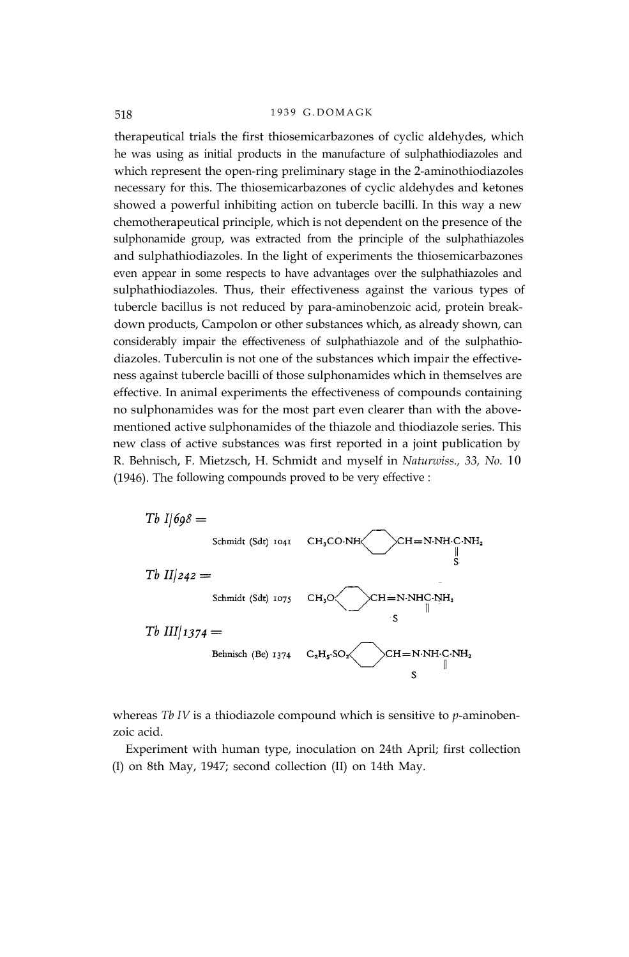therapeutical trials the first thiosemicarbazones of cyclic aldehydes, which he was using as initial products in the manufacture of sulphathiodiazoles and which represent the open-ring preliminary stage in the 2-aminothiodiazoles necessary for this. The thiosemicarbazones of cyclic aldehydes and ketones showed a powerful inhibiting action on tubercle bacilli. In this way a new chemotherapeutical principle, which is not dependent on the presence of the sulphonamide group, was extracted from the principle of the sulphathiazoles and sulphathiodiazoles. In the light of experiments the thiosemicarbazones even appear in some respects to have advantages over the sulphathiazoles and sulphathiodiazoles. Thus, their effectiveness against the various types of tubercle bacillus is not reduced by para-aminobenzoic acid, protein breakdown products, Campolon or other substances which, as already shown, can considerably impair the effectiveness of sulphathiazole and of the sulphathiodiazoles. Tuberculin is not one of the substances which impair the effectiveness against tubercle bacilli of those sulphonamides which in themselves are effective. In animal experiments the effectiveness of compounds containing no sulphonamides was for the most part even clearer than with the abovementioned active sulphonamides of the thiazole and thiodiazole series. This new class of active substances was first reported in a joint publication by R. Behnisch, F. Mietzsch, H. Schmidt and myself in *Naturwiss., 33, No.* 10 (1946). The following compounds proved to be very effective :



whereas *Tb IV* is a thiodiazole compound which is sensitive to *p*-aminobenzoic acid.

Experiment with human type, inoculation on 24th April; first collection (I) on 8th May, 1947; second collection (II) on 14th May.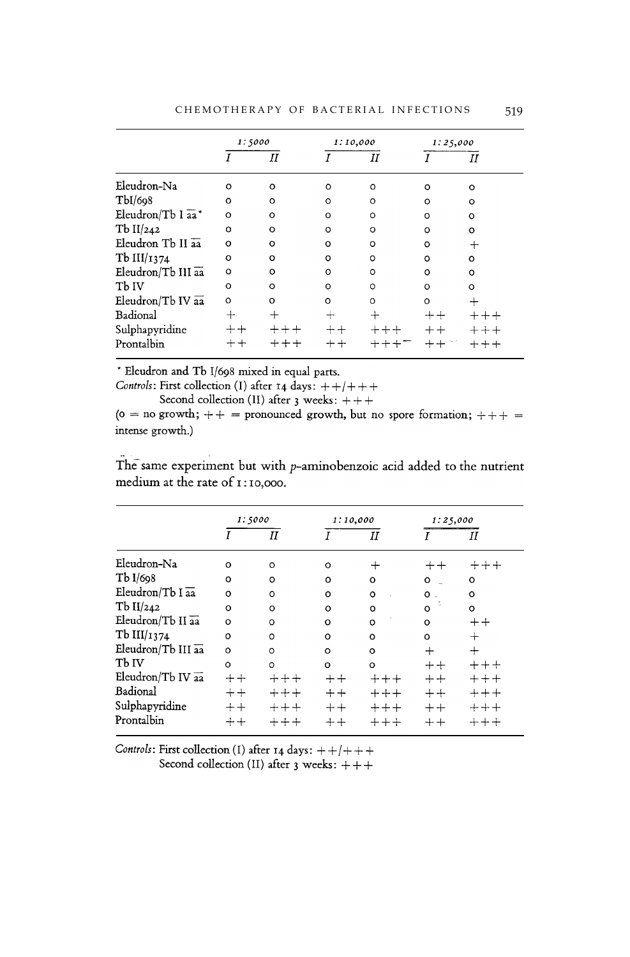|                    | 1:5000   |          | 1:10,000 |          | 1:25,000 |                            |
|--------------------|----------|----------|----------|----------|----------|----------------------------|
|                    |          | $_{II}$  |          | $_{II}$  |          | $\boldsymbol{\mathit{II}}$ |
| Eleudron-Na        | $\Omega$ | $\circ$  | $\circ$  | O        | $\circ$  | $\circ$                    |
| TbI/698            | o        | $\circ$  | $\circ$  | $\circ$  | O        | $\circ$                    |
| Eleudron/Tb I aa*  | $\circ$  | $\circ$  | $\circ$  | $\Omega$ | O        | $\Omega$                   |
| Tb $II/242$        | $\circ$  | $\circ$  | $\circ$  | O        | O        | $\circ$                    |
| Eleudron Tb II aa  | $\circ$  | $\circ$  | $\circ$  | $\circ$  | $\circ$  | ┿                          |
| Tb III/ $1374$     | O        | $\Omega$ | $\circ$  | O        | $\Omega$ | $\circ$                    |
| Eleudron/Tb III aa | o        | $\Omega$ | O        | O        | $\Omega$ | $\circ$                    |
| Tb IV              | $\circ$  | $\circ$  | $\circ$  | $\circ$  | $\circ$  | $\circ$                    |
| Eleudron/Tb IV aa  | $\circ$  | $\Omega$ | $\Omega$ | $\Omega$ | $\Omega$ | $^{+}$                     |
| Badional           | $\div$   | $\pm$    | ┿        | $\div$   | $++$     | $++++$                     |
| Sulphapyridine     |          | $+++$    | $++$     | $++ +$   | $++$     | $+++$                      |
| Prontalbin         | $++$     | $+++$    | $++$     |          |          |                            |

\* Eleudron and Tb I/698 mixed in equal parts.

Controls: First collection (I) after 14 days:  $++/++$ 

Second collection (II) after 3 weeks:  $++$ 

( $o = no growth$ ; + + = pronounced growth, but no spore formation; + + + = intense growth.)

The same experiment but with  $p$ -aminobenzoic acid added to the nutrient medium at the rate of 1:10,000.

|                    | 1:5000   |          | 1:10,000 |          | 1:25,000 |         |
|--------------------|----------|----------|----------|----------|----------|---------|
|                    |          | $_{II}$  |          | Η        |          | Η       |
| Eleudron-Na        | $\circ$  | $\circ$  | $\circ$  | $\div$   | $++$     | $+++$   |
| Tb I/698           | $\circ$  | $\circ$  | $\circ$  | $\circ$  | $\circ$  | $\circ$ |
| Eleudron/Tb I aa   | $\Omega$ | $\circ$  | $\circ$  | $\circ$  | $\circ$  | $\circ$ |
| Tb $II/242$        | $\circ$  | $\circ$  | $\circ$  | $\circ$  | $\circ$  | $\circ$ |
| Eleudron/Tb II aa  | $\Omega$ | O        | $\Omega$ | $\circ$  | $\circ$  | $++$    |
| Tb III/1374        | $\circ$  | $\Omega$ | $\circ$  | $\Omega$ | $\circ$  | $^{+}$  |
| Eleudron/Tb III aa | $\circ$  | $\circ$  | $\circ$  | O        | $+$      | $+$     |
| Th IV              | $\Omega$ | $\circ$  | $\Omega$ | $\Omega$ | $++$     | $+++$   |
| Eleudron/Tb IV aa  | $++$     | $++++$   | $++$     | $+++$    | $++$     | $+++$   |
| Badional           | $++$     | $+++$    | $++$     | $++++$   | $++$     | $+++$   |
| Sulphapyridine     | $++$     | $++++$   | $+ +$    | $+++$    | $++$     | $+++$   |
| Prontalbin         | ᆠᆠ       | $++++$   | $++$     | $+++$    | $++$     | $+++$   |

Controls: First collection (I) after 14 days:  $++/++$ 

Second collection (II) after 3 weeks:  $++$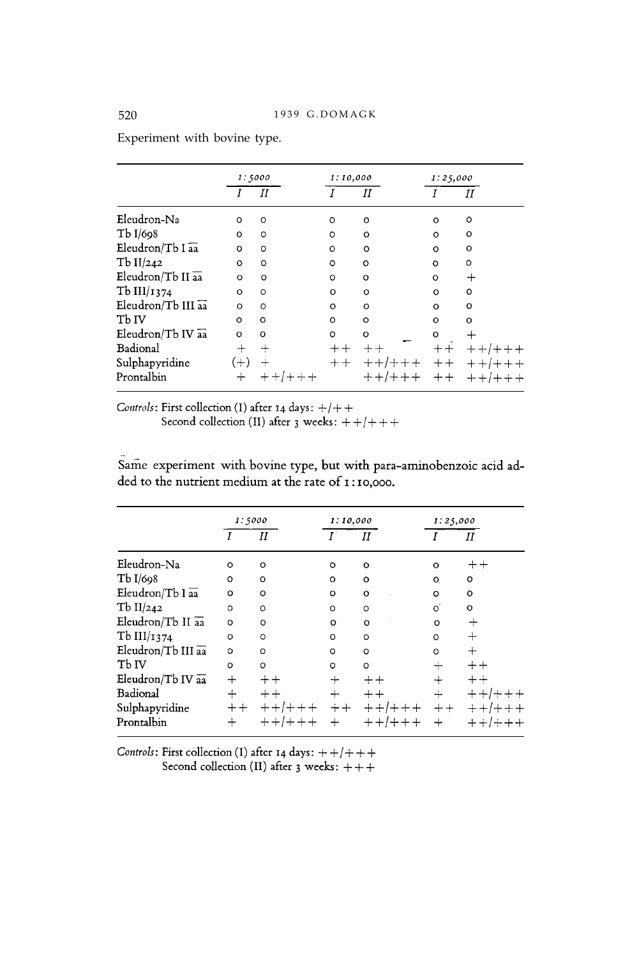| Experiment with bovine type. |  |  |
|------------------------------|--|--|
|------------------------------|--|--|

|                    | 1:5000  |         | 1:10,000 |               | 1:25,000 |               |
|--------------------|---------|---------|----------|---------------|----------|---------------|
|                    |         | П       |          | Π             |          | П             |
| Eleudron-Na        | O       | o       | o        | $\circ$       | O        | o             |
| Tb I/698           | $\circ$ | $\circ$ | O        | O             | $\circ$  | $\circ$       |
| Eleudron/Tb I aa   | $\circ$ | $\circ$ | $\circ$  | $\circ$       | $\circ$  | $\circ$       |
| Tb $II/242$        | $\circ$ | $\circ$ | $\circ$  | $\circ$       | $\circ$  | $\circ$       |
| Eleudron/Tb II aa  | $\circ$ | $\circ$ | O        | $\circ$       | $\circ$  | $\,$          |
| Tb $II/I$ 374      | $\circ$ | $\circ$ | $\circ$  | $\circ$       | $\circ$  | $\circ$       |
| Eleudron/Tb III aa | $\circ$ | $\circ$ | $\circ$  | $\circ$       | $\circ$  | $\circ$       |
| Tb IV              | o       | $\circ$ | $\circ$  | $\circ$       | $\circ$  | $\circ$       |
| Eleudron/Tb IV aa  | $\circ$ | $\circ$ | $\circ$  | $\circ$       | $\circ$  | ┿             |
| Badional           | $\div$  | $^{+}$  | $++$     | $++$          | $++$     | $+ + + + + +$ |
| Sulphapyridine     | $(+)$   | $^{+}$  | $++$     | $+ + + + + +$ | $++$     | $+ +$ /+++    |
| Prontalbin         | $^{+}$  |         |          | $+ + + + + +$ | $++$     | $+ + + + + +$ |

Controls: First collection (I) after 14 days:  $+/+$ 

Second collection (II) after 3 weeks:  $++++++$ 

Same experiment with bovine type, but with para-aminobenzoic acid added to the nutrient medium at the rate of 1:10,000.

|                    | 1:5000  |                   | 1:10,000 |               | 1:25,000                  |               |
|--------------------|---------|-------------------|----------|---------------|---------------------------|---------------|
|                    |         | $\scriptstyle II$ |          | Н             |                           | Π             |
| Eleudron-Na        | $\circ$ | $\circ$           | o        | $\circ$       | $\circ$                   | $++$          |
| Tb I/698           | o       | o                 | $\circ$  | O             | $\circ$                   | $\circ$       |
| Eleudron/Tb I aa   | o       | $\circ$           | O        | $\circ$       | $\circ$                   | $\circ$       |
| Tb $I1/242$        | $\circ$ | $\circ$           | $\circ$  | $\circ$       | $\mathbf{o}^{\mathbf{v}}$ | $\circ$       |
| Eleudron/Tb II aa  | $\circ$ | $\circ$           | o        | $\Omega$      | $\circ$                   |               |
| Tb III/ $1374$     | $\circ$ | $\circ$           | $\circ$  | O             | $\circ$                   | $+$           |
| Eleudron/Tb III aa | $\circ$ | $\circ$           | $\circ$  | o             | $\circ$                   | $^{+}$        |
| Tb IV              | $\circ$ | $\circ$           | $\circ$  | $\circ$       | ┿                         | $++$          |
| Eleudron/Tb IV aa  | $\, +$  | $++$              | ┿        | $++$          | $\div$                    | $++$          |
| Badional           | $^{+}$  | $++$              | $+$      | $++$          | $+$                       | $+ + + + + +$ |
| Sulphapyridine     | $++$    | $+ + + + + +$     | $++$     | $+ + + + + +$ | $++$                      | $+ +$ /+++    |
| Prontalbin         |         |                   |          |               |                           | $+ + + + + +$ |

Controls: First collection (I) after 14 days:  $++/++$ 

Second collection (II) after 3 weeks:  $++$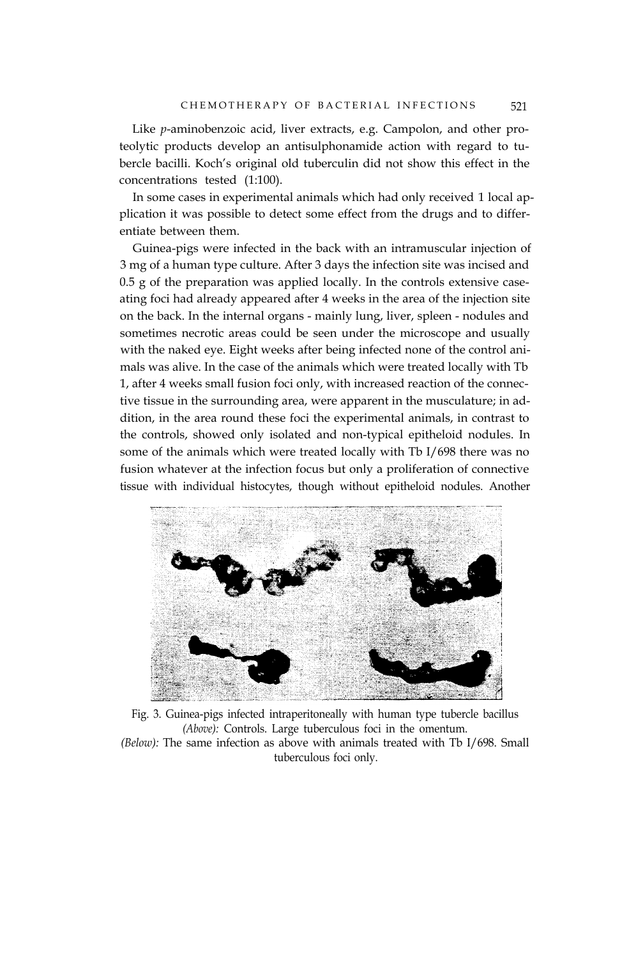Like *p*-aminobenzoic acid, liver extracts, e.g. Campolon, and other proteolytic products develop an antisulphonamide action with regard to tubercle bacilli. Koch's original old tuberculin did not show this effect in the concentrations tested (1:100).

In some cases in experimental animals which had only received 1 local application it was possible to detect some effect from the drugs and to differentiate between them.

Guinea-pigs were infected in the back with an intramuscular injection of 3 mg of a human type culture. After 3 days the infection site was incised and 0.5 g of the preparation was applied locally. In the controls extensive caseating foci had already appeared after 4 weeks in the area of the injection site on the back. In the internal organs - mainly lung, liver, spleen - nodules and sometimes necrotic areas could be seen under the microscope and usually with the naked eye. Eight weeks after being infected none of the control animals was alive. In the case of the animals which were treated locally with Tb 1, after 4 weeks small fusion foci only, with increased reaction of the connective tissue in the surrounding area, were apparent in the musculature; in addition, in the area round these foci the experimental animals, in contrast to the controls, showed only isolated and non-typical epitheloid nodules. In some of the animals which were treated locally with Tb I/698 there was no fusion whatever at the infection focus but only a proliferation of connective tissue with individual histocytes, though without epitheloid nodules. Another



Fig. 3. Guinea-pigs infected intraperitoneally with human type tubercle bacillus *(Above):* Controls. Large tuberculous foci in the omentum. *(Below):* The same infection as above with animals treated with Tb I/698. Small tuberculous foci only.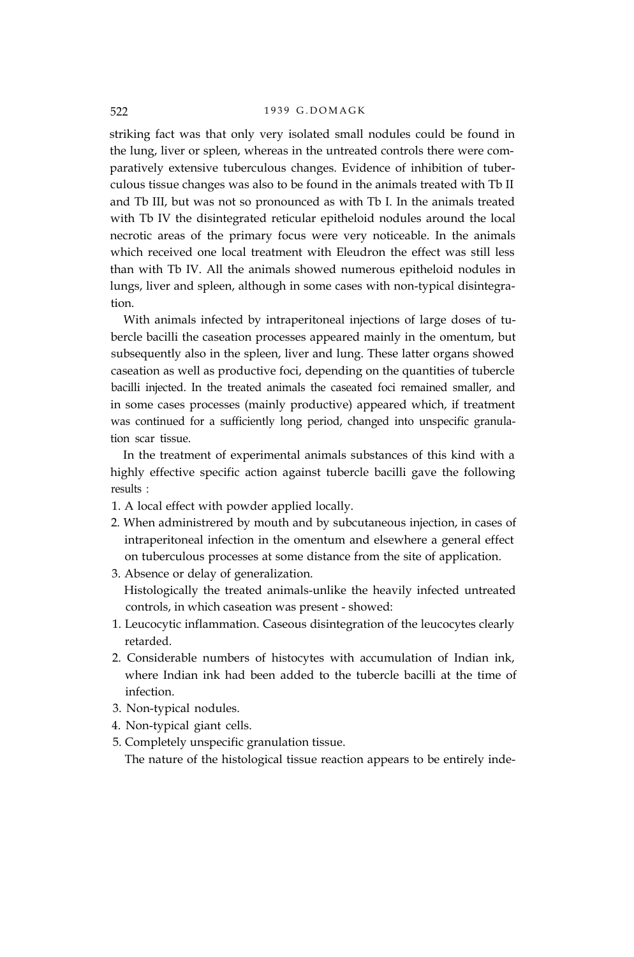striking fact was that only very isolated small nodules could be found in the lung, liver or spleen, whereas in the untreated controls there were comparatively extensive tuberculous changes. Evidence of inhibition of tuberculous tissue changes was also to be found in the animals treated with Tb II and Tb III, but was not so pronounced as with Tb I. In the animals treated with Tb IV the disintegrated reticular epitheloid nodules around the local necrotic areas of the primary focus were very noticeable. In the animals which received one local treatment with Eleudron the effect was still less than with Tb IV. All the animals showed numerous epitheloid nodules in lungs, liver and spleen, although in some cases with non-typical disintegration.

With animals infected by intraperitoneal injections of large doses of tubercle bacilli the caseation processes appeared mainly in the omentum, but subsequently also in the spleen, liver and lung. These latter organs showed caseation as well as productive foci, depending on the quantities of tubercle bacilli injected. In the treated animals the caseated foci remained smaller, and in some cases processes (mainly productive) appeared which, if treatment was continued for a sufficiently long period, changed into unspecific granulation scar tissue.

In the treatment of experimental animals substances of this kind with a highly effective specific action against tubercle bacilli gave the following results :

- 1. A local effect with powder applied locally.
- 2. When administrered by mouth and by subcutaneous injection, in cases of intraperitoneal infection in the omentum and elsewhere a general effect on tuberculous processes at some distance from the site of application.
- 3. Absence or delay of generalization. Histologically the treated animals-unlike the heavily infected untreated controls, in which caseation was present - showed:
- 1. Leucocytic inflammation. Caseous disintegration of the leucocytes clearly retarded.
- 2. Considerable numbers of histocytes with accumulation of Indian ink, where Indian ink had been added to the tubercle bacilli at the time of infection.
- 3. Non-typical nodules.
- 4. Non-typical giant cells.
- 5. Completely unspecific granulation tissue. The nature of the histological tissue reaction appears to be entirely inde-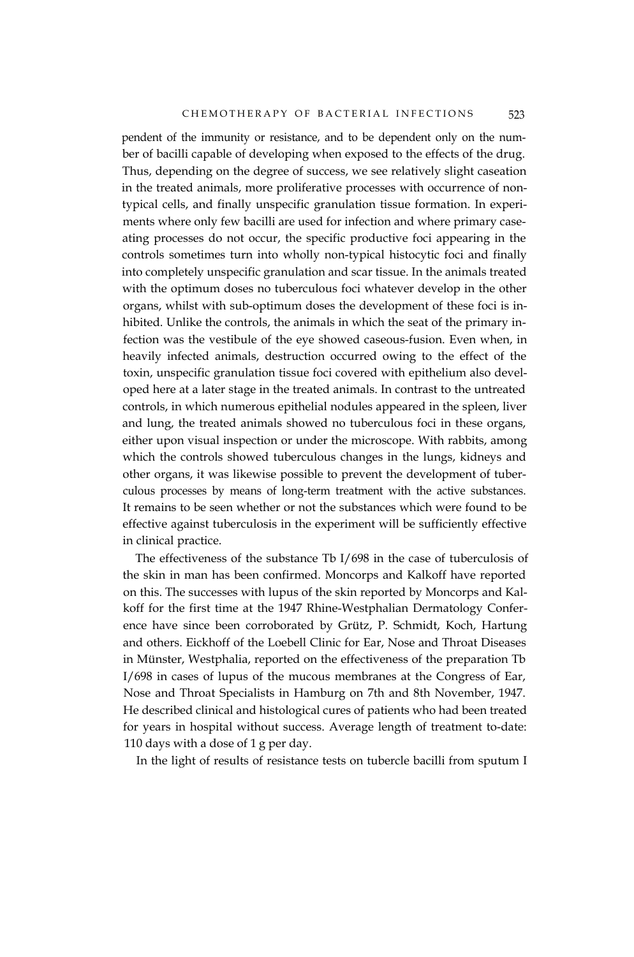pendent of the immunity or resistance, and to be dependent only on the number of bacilli capable of developing when exposed to the effects of the drug. Thus, depending on the degree of success, we see relatively slight caseation in the treated animals, more proliferative processes with occurrence of nontypical cells, and finally unspecific granulation tissue formation. In experiments where only few bacilli are used for infection and where primary caseating processes do not occur, the specific productive foci appearing in the controls sometimes turn into wholly non-typical histocytic foci and finally into completely unspecific granulation and scar tissue. In the animals treated with the optimum doses no tuberculous foci whatever develop in the other organs, whilst with sub-optimum doses the development of these foci is inhibited. Unlike the controls, the animals in which the seat of the primary infection was the vestibule of the eye showed caseous-fusion. Even when, in heavily infected animals, destruction occurred owing to the effect of the toxin, unspecific granulation tissue foci covered with epithelium also developed here at a later stage in the treated animals. In contrast to the untreated controls, in which numerous epithelial nodules appeared in the spleen, liver and lung, the treated animals showed no tuberculous foci in these organs, either upon visual inspection or under the microscope. With rabbits, among which the controls showed tuberculous changes in the lungs, kidneys and other organs, it was likewise possible to prevent the development of tuberculous processes by means of long-term treatment with the active substances. It remains to be seen whether or not the substances which were found to be effective against tuberculosis in the experiment will be sufficiently effective in clinical practice.

The effectiveness of the substance Tb I/698 in the case of tuberculosis of the skin in man has been confirmed. Moncorps and Kalkoff have reported on this. The successes with lupus of the skin reported by Moncorps and Kalkoff for the first time at the 1947 Rhine-Westphalian Dermatology Conference have since been corroborated by Grütz, P. Schmidt, Koch, Hartung and others. Eickhoff of the Loebell Clinic for Ear, Nose and Throat Diseases in Münster, Westphalia, reported on the effectiveness of the preparation Tb I/698 in cases of lupus of the mucous membranes at the Congress of Ear, Nose and Throat Specialists in Hamburg on 7th and 8th November, 1947. He described clinical and histological cures of patients who had been treated for years in hospital without success. Average length of treatment to-date: 110 days with a dose of 1 g per day.

In the light of results of resistance tests on tubercle bacilli from sputum I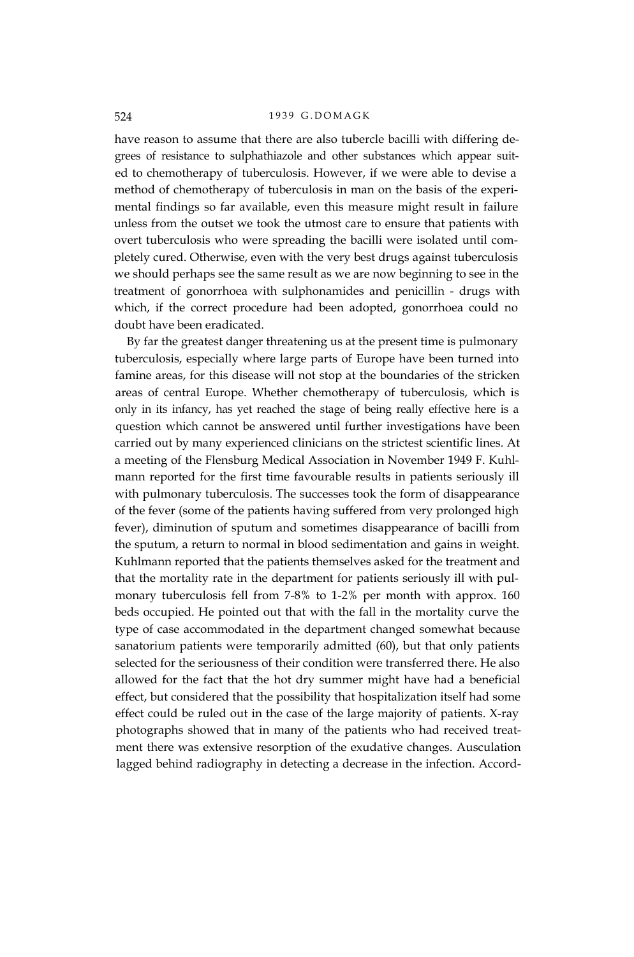have reason to assume that there are also tubercle bacilli with differing degrees of resistance to sulphathiazole and other substances which appear suited to chemotherapy of tuberculosis. However, if we were able to devise a method of chemotherapy of tuberculosis in man on the basis of the experimental findings so far available, even this measure might result in failure unless from the outset we took the utmost care to ensure that patients with overt tuberculosis who were spreading the bacilli were isolated until completely cured. Otherwise, even with the very best drugs against tuberculosis we should perhaps see the same result as we are now beginning to see in the treatment of gonorrhoea with sulphonamides and penicillin - drugs with which, if the correct procedure had been adopted, gonorrhoea could no doubt have been eradicated.

By far the greatest danger threatening us at the present time is pulmonary tuberculosis, especially where large parts of Europe have been turned into famine areas, for this disease will not stop at the boundaries of the stricken areas of central Europe. Whether chemotherapy of tuberculosis, which is only in its infancy, has yet reached the stage of being really effective here is a question which cannot be answered until further investigations have been carried out by many experienced clinicians on the strictest scientific lines. At a meeting of the Flensburg Medical Association in November 1949 F. Kuhlmann reported for the first time favourable results in patients seriously ill with pulmonary tuberculosis. The successes took the form of disappearance of the fever (some of the patients having suffered from very prolonged high fever), diminution of sputum and sometimes disappearance of bacilli from the sputum, a return to normal in blood sedimentation and gains in weight. Kuhlmann reported that the patients themselves asked for the treatment and that the mortality rate in the department for patients seriously ill with pulmonary tuberculosis fell from 7-8% to 1-2% per month with approx. 160 beds occupied. He pointed out that with the fall in the mortality curve the type of case accommodated in the department changed somewhat because sanatorium patients were temporarily admitted (60), but that only patients selected for the seriousness of their condition were transferred there. He also allowed for the fact that the hot dry summer might have had a beneficial effect, but considered that the possibility that hospitalization itself had some effect could be ruled out in the case of the large majority of patients. X-ray photographs showed that in many of the patients who had received treatment there was extensive resorption of the exudative changes. Ausculation lagged behind radiography in detecting a decrease in the infection. Accord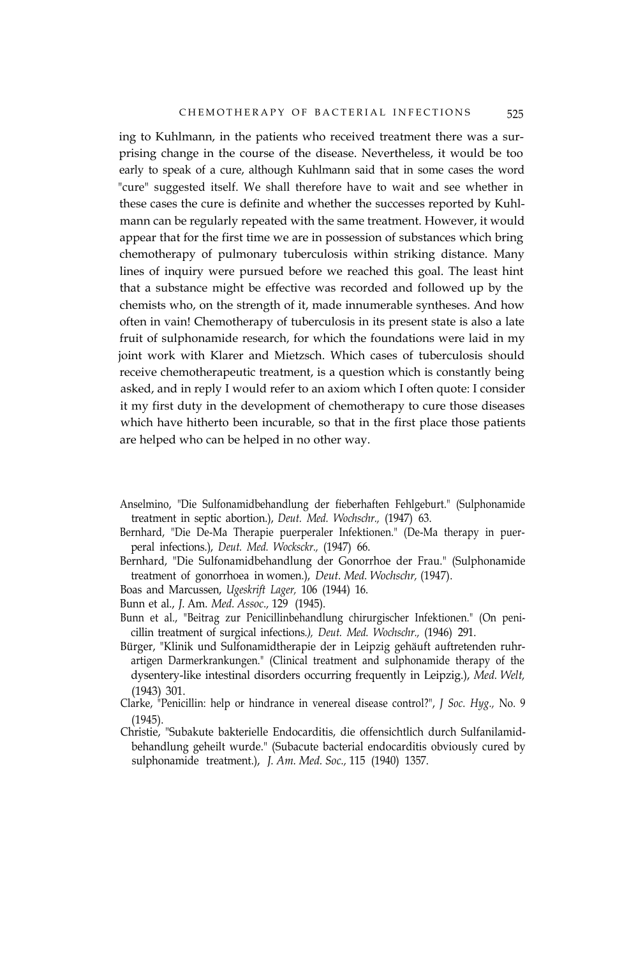ing to Kuhlmann, in the patients who received treatment there was a surprising change in the course of the disease. Nevertheless, it would be too early to speak of a cure, although Kuhlmann said that in some cases the word "cure" suggested itself. We shall therefore have to wait and see whether in these cases the cure is definite and whether the successes reported by Kuhlmann can be regularly repeated with the same treatment. However, it would appear that for the first time we are in possession of substances which bring chemotherapy of pulmonary tuberculosis within striking distance. Many lines of inquiry were pursued before we reached this goal. The least hint that a substance might be effective was recorded and followed up by the chemists who, on the strength of it, made innumerable syntheses. And how often in vain! Chemotherapy of tuberculosis in its present state is also a late fruit of sulphonamide research, for which the foundations were laid in my joint work with Klarer and Mietzsch. Which cases of tuberculosis should receive chemotherapeutic treatment, is a question which is constantly being asked, and in reply I would refer to an axiom which I often quote: I consider it my first duty in the development of chemotherapy to cure those diseases which have hitherto been incurable, so that in the first place those patients are helped who can be helped in no other way.

- Anselmino, "Die Sulfonamidbehandlung der fieberhaften Fehlgeburt." (Sulphonamide treatment in septic abortion.), *Deut. Med. Wochschr.,* (1947) 63.
- Bernhard, "Die De-Ma Therapie puerperaler Infektionen." (De-Ma therapy in puerperal infections.), *Deut. Med. Wocksckr.,* (1947) 66.
- Bernhard, "Die Sulfonamidbehandlung der Gonorrhoe der Frau." (Sulphonamide treatment of gonorrhoea in women.), *Deut. Med. Wochschr,* (1947).

Boas and Marcussen, *Ugeskrift Lager,* 106 (1944) 16.

- Bunn et al., *J.* Am. *Med. Assoc.,* 129 (1945).
- Bunn et al., "Beitrag zur Penicillinbehandlung chirurgischer Infektionen." (On penicillin treatment of surgical infections*.), Deut. Med. Wochschr.,* (1946) 291.
- Bürger, "Klinik und Sulfonamidtherapie der in Leipzig gehäuft auftretenden ruhrartigen Darmerkrankungen." (Clinical treatment and sulphonamide therapy of the dysentery-like intestinal disorders occurring frequently in Leipzig.), *Med. Welt,* (1943) 301.
- Clarke, "Penicillin: help or hindrance in venereal disease control?", *J Soc. Hyg.,* No. 9 (1945).
- Christie, "Subakute bakterielle Endocarditis, die offensichtlich durch Sulfanilamidbehandlung geheilt wurde." (Subacute bacterial endocarditis obviously cured by sulphonamide treatment.), *J. Am. Med. Soc.,* 115 (1940) 1357.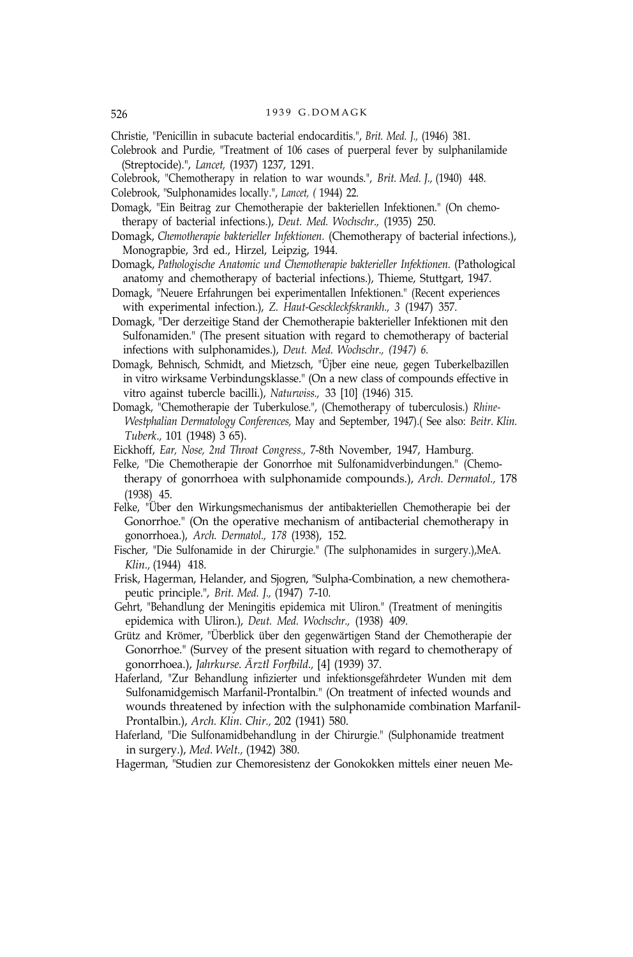- Christie, "Penicillin in subacute bacterial endocarditis.", *Brit. Med. J.,* (1946) 381.
- Colebrook and Purdie, "Treatment of 106 cases of puerperal fever by sulphanilamide (Streptocide).", *Lancet,* (1937) 1237, 1291.
- Colebrook, "Chemotherapy in relation to war wounds.", *Brit. Med. J.,* (1940) 448.
- Colebrook, "Sulphonamides locally.", *Lancet, (* 1944) 22.
- Domagk, "Ein Beitrag zur Chemotherapie der bakteriellen Infektionen." (On chemotherapy of bacterial infections.), *Deut. Med. Wochschr.,* (1935) 250.
- Domagk, *Chemotherapie bakterieller Infektionen.* (Chemotherapy of bacterial infections.), Monograpbie, 3rd ed., Hirzel, Leipzig, 1944.
- Domagk, *Pathologische Anatomic und Chemotherapie bakterieller Infektionen.* (Pathological anatomy and chemotherapy of bacterial infections.), Thieme, Stuttgart, 1947.
- Domagk, "Neuere Erfahrungen bei experimentallen Infektionen." (Recent experiences with experimental infection.), *Z. Haut-Gesckleckfskrankh., 3* (1947) 357.
- Domagk, "Der derzeitige Stand der Chemotherapie bakterieller Infektionen mit den Sulfonamiden." (The present situation with regard to chemotherapy of bacterial infections with sulphonamides.), *Deut. Med. Wochschr., (1947) 6.*
- Domagk, Behnisch, Schmidt, and Mietzsch, "Üjber eine neue, gegen Tuberkelbazillen in vitro wirksame Verbindungsklasse." (On a new class of compounds effective in vitro against tubercle bacilli.), *Naturwiss.,* 33 [10] (1946) 315.
- Domagk, "Chemotherapie der Tuberkulose.", (Chemotherapy of tuberculosis.) *Rhine-Westphalian Dermatology Conferences,* May and September, 1947).( See also: *Beitr. Klin. Tuberk.,* 101 (1948) 3 65).
- Eickhoff, *Ear, Nose, 2nd Throat Congress.,* 7-8th November, 1947, Hamburg.
- Felke, "Die Chemotherapie der Gonorrhoe mit Sulfonamidverbindungen." (Chemotherapy of gonorrhoea with sulphonamide compounds.), *Arch. Dermatol.,* 178 (1938) 45.
- Felke, "Über den Wirkungsmechanismus der antibakteriellen Chemotherapie bei der Gonorrhoe." (On the operative mechanism of antibacterial chemotherapy in gonorrhoea.), *Arch. Dermatol., 178* (1938), 152.
- Fischer, "Die Sulfonamide in der Chirurgie." (The sulphonamides in surgery.),MeA. *Klin.,* (1944) 418.
- Frisk, Hagerman, Helander, and Sjogren, "Sulpha-Combination, a new chemotherapeutic principle.", *Brit. Med. J.,* (1947) 7-10.
- Gehrt, "Behandlung der Meningitis epidemica mit Uliron." (Treatment of meningitis epidemica with Uliron.), *Deut. Med. Wochschr.,* (1938) 409.
- Grütz and Krömer, "Überblick über den gegenwärtigen Stand der Chemotherapie der Gonorrhoe." (Survey of the present situation with regard to chemotherapy of gonorrhoea.), *Jahrkurse. Ärztl Forfbild.,* [4] (1939) 37.
- Haferland, "Zur Behandlung infizierter und infektionsgefährdeter Wunden mit dem Sulfonamidgemisch Marfanil-Prontalbin." (On treatment of infected wounds and wounds threatened by infection with the sulphonamide combination Marfanil-Prontalbin.), *Arch. Klin. Chir.,* 202 (1941) 580.
- Haferland, "Die Sulfonamidbehandlung in der Chirurgie." (Sulphonamide treatment in surgery.), *Med. Welt.,* (1942) 380.
- Hagerman, "Studien zur Chemoresistenz der Gonokokken mittels einer neuen Me-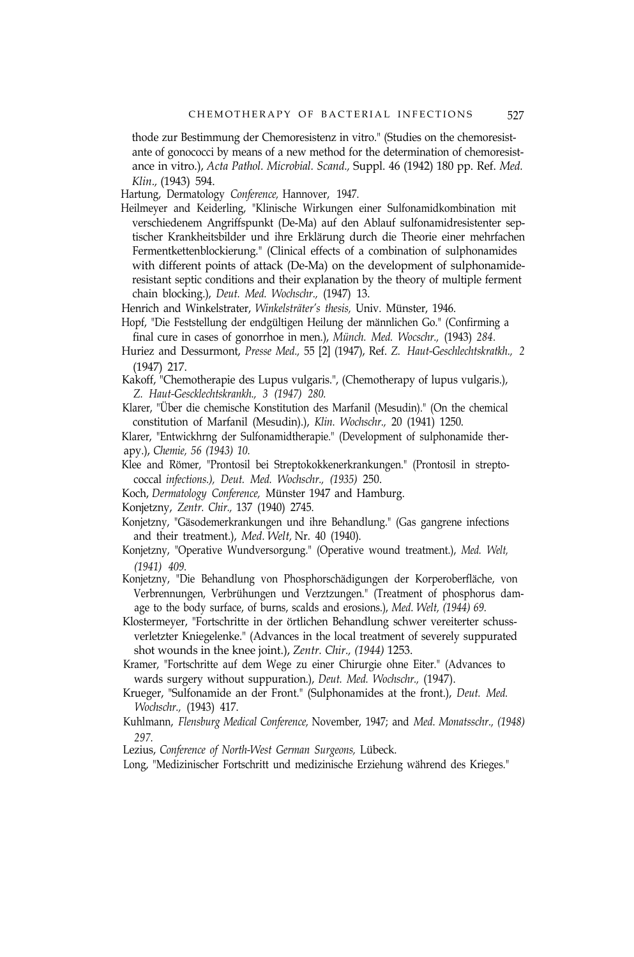thode zur Bestimmung der Chemoresistenz in vitro." (Studies on the chemoresistante of gonococci by means of a new method for the determination of chemoresistance in vitro.), *Acta Pathol. Microbial. Scand.,* Suppl. 46 (1942) 180 pp. Ref. *Med. Klin.,* (1943) 594.

Hartung, Dermatology *Conference,* Hannover, 1947.

- Heilmeyer and Keiderling, "Klinische Wirkungen einer Sulfonamidkombination mit verschiedenem Angriffspunkt (De-Ma) auf den Ablauf sulfonamidresistenter septischer Krankheitsbilder und ihre Erklärung durch die Theorie einer mehrfachen Fermentkettenblockierung." (Clinical effects of a combination of sulphonamides with different points of attack (De-Ma) on the development of sulphonamideresistant septic conditions and their explanation by the theory of multiple ferment chain blocking.), *Deut. Med. Wochschr.,* (1947) 13.
- Henrich and Winkelstrater, *Winkelsträter's thesis,* Univ. Münster, 1946.
- Hopf, "Die Feststellung der endgültigen Heilung der männlichen Go." (Confirming a final cure in cases of gonorrhoe in men.), *Münch. Med. Wocschr.,* (1943) *284.*
- Huriez and Dessurmont, *Presse Med.,* 55 [2] (1947), Ref. *Z. Haut-Geschlechtskratkh., 2* (1947) 217.
- Kakoff, "Chemotherapie des Lupus vulgaris.", (Chemotherapy of lupus vulgaris.), *Z. Haut-Gescklechtskrankh., 3 (1947) 280.*
- Klarer, "Über die chemische Konstitution des Marfanil (Mesudin)." (On the chemical constitution of Marfanil (Mesudin).), *Klin. Wochschr.,* 20 (1941) 1250.
- Klarer, "Entwickhrng der Sulfonamidtherapie." (Development of sulphonamide therapy.), *Chemie, 56 (1943) 10.*
- Klee and Römer, "Prontosil bei Streptokokkenerkrankungen." (Prontosil in streptococcal *infections.), Deut. Med. Wochschr., (1935)* 250.
- Koch, *Dermatology Conference,* Münster 1947 and Hamburg.
- Konjetzny, *Zentr. Chir.,* 137 (1940) 2745.
- Konjetzny, "Gäsodemerkrankungen und ihre Behandlung." (Gas gangrene infections and their treatment.), *Med. Welt,* Nr. 40 (1940).
- Konjetzny, "Operative Wundversorgung." (Operative wound treatment.), *Med. Welt, (1941) 409.*
- Konjetzny, "Die Behandlung von Phosphorschädigungen der Korperoberfläche, von Verbrennungen, Verbrühungen und Verztzungen." (Treatment of phosphorus damage to the body surface, of burns, scalds and erosions.), *Med. Welt, (1944) 69.*
- Klostermeyer, "Fortschritte in der örtlichen Behandlung schwer vereiterter schussverletzter Kniegelenke." (Advances in the local treatment of severely suppurated shot wounds in the knee joint.), *Zentr. Chir., (1944)* 1253.
- Kramer, "Fortschritte auf dem Wege zu einer Chirurgie ohne Eiter." (Advances to wards surgery without suppuration.), *Deut. Med. Wochschr.,* (1947).
- Krueger, "Sulfonamide an der Front." (Sulphonamides at the front.), *Deut. Med. Wochschr.,* (1943) 417.
- Kuhlmann, *Flensburg Medical Conference,* November, 1947; and *Med. Monatsschr., (1948) 297.*
- Lezius, *Conference of North-West German Surgeons,* Lübeck.
- Long, "Medizinischer Fortschritt und medizinische Erziehung während des Krieges."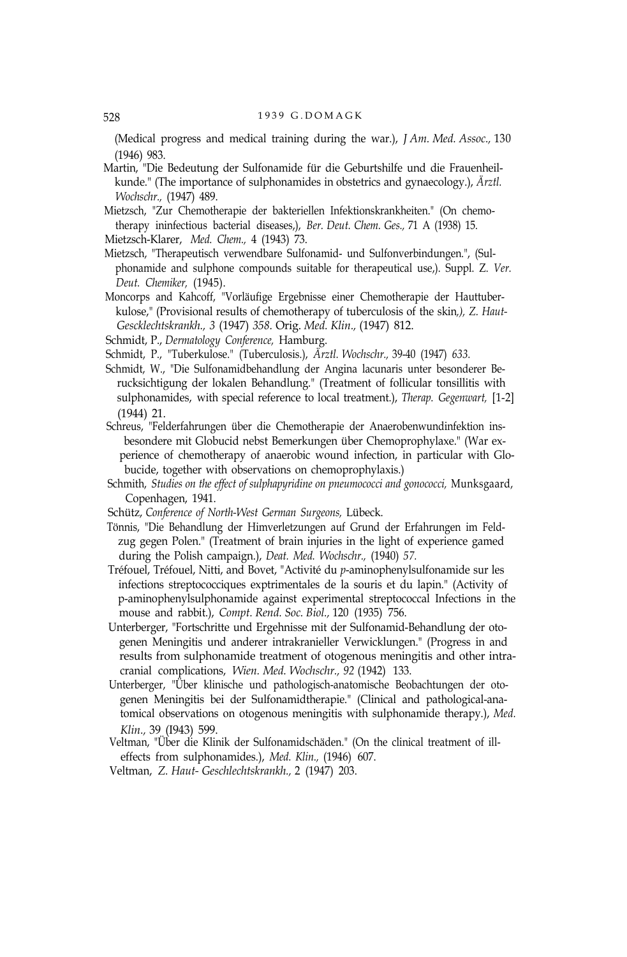(Medical progress and medical training during the war.), *J Am. Med. Assoc.,* 130 (1946) 983.

- Martin, "Die Bedeutung der Sulfonamide für die Geburtshilfe und die Frauenheilkunde." (The importance of sulphonamides in obstetrics and gynaecology.), *Ärztl. Wochschr.,* (1947) 489.
- Mietzsch, "Zur Chemotherapie der bakteriellen Infektionskrankheiten." (On chemotherapy ininfectious bacterial diseases,), *Ber. Deut. Chem. Ges.,* 71 A (1938) 15.
- Mietzsch-Klarer, *Med. Chem.,* 4 (1943) 73.
- Mietzsch, "Therapeutisch verwendbare Sulfonamid- und Sulfonverbindungen.", (Sulphonamide and sulphone compounds suitable for therapeutical use,). Suppl. Z. *Ver. Deut. Chemiker,* (1945).
- Moncorps and Kahcoff, "Vorläufige Ergebnisse einer Chemotherapie der Hauttuberkulose," (Provisional results of chemotherapy of tuberculosis of the skin*,), Z. Haut-Gescklechtskrankh., 3* (1947) *358.* Orig. *Med. Klin.,* (1947) 812.
- Schmidt, P., *Dermatology Conference,* Hamburg.
- Schmidt, P., "Tuberkulose." (Tuberculosis.), *Ärztl. Wochschr.,* 39-40 (1947) *633.*
- Schmidt, W., "Die Sulfonamidbehandlung der Angina lacunaris unter besonderer Berucksichtigung der lokalen Behandlung." (Treatment of follicular tonsillitis with sulphonamides, with special reference to local treatment.), *Therap. Gegenwart,* [1-2] (1944) 21.
- Schreus, "Felderfahrungen über die Chemotherapie der Anaerobenwundinfektion insbesondere mit Globucid nebst Bemerkungen über Chemoprophylaxe." (War experience of chemotherapy of anaerobic wound infection, in particular with Globucide, together with observations on chemoprophylaxis.)
- Schmith, *Studies on the effect of sulphapyridine on pneumococci and gonococci,* Munksgaard, Copenhagen, 1941.
- Schütz, *Conference of North-West German Surgeons,* Lübeck.
- Tönnis, "Die Behandlung der Himverletzungen auf Grund der Erfahrungen im Feldzug gegen Polen." (Treatment of brain injuries in the light of experience gamed during the Polish campaign.), *Deat. Med. Wochschr.,* (1940) *57.*
- Tréfouel, Tréfouel, Nitti, and Bovet, "Activité du *p*-aminophenylsulfonamide sur les infections streptococciques exptrimentales de la souris et du lapin." (Activity of p-aminophenylsulphonamide against experimental streptococcal Infections in the mouse and rabbit.), *Compt. Rend. Soc. Biol.,* 120 (1935) 756.
- Unterberger, "Fortschritte und Ergehnisse mit der Sulfonamid-Behandlung der otogenen Meningitis und anderer intrakranieller Verwicklungen." (Progress in and results from sulphonamide treatment of otogenous meningitis and other intracranial complications, *Wien. Med. Wochschr., 92* (1942) 133.
- Unterberger, "Über klinische und pathologisch-anatomische Beobachtungen der otogenen Meningitis bei der Sulfonamidtherapie." (Clinical and pathological-anatomical observations on otogenous meningitis with sulphonamide therapy.), *Med. Klin.,* 39 (I943) 599.
- Veltman, "Über die Klinik der Sulfonamidschäden." (On the clinical treatment of illeffects from sulphonamides.), *Med. Klin.,* (1946) 607.
- Veltman, *Z. Haut- Geschlechtskrankh.,* 2 (1947) 203.